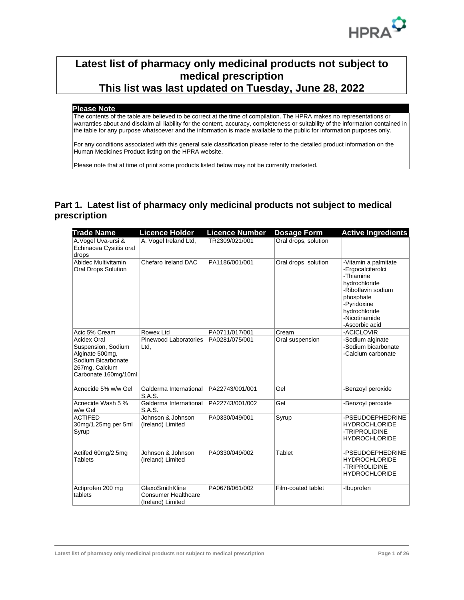

## **Latest list of pharmacy only medicinal products not subject to medical prescription This list was last updated on Tuesday, June 28, 2022**

## **Please Note**

The contents of the table are believed to be correct at the time of compilation. The HPRA makes no representations or warranties about and disclaim all liability for the content, accuracy, completeness or suitability of the information contained in the table for any purpose whatsoever and the information is made available to the public for information purposes only.

For any conditions associated with this general sale classification please refer to the detailed product information on the Human Medicines Product listing on the HPRA website.

Please note that at time of print some products listed below may not be currently marketed.

## **Part 1. Latest list of pharmacy only medicinal products not subject to medical prescription**

| <b>Trade Name</b>                                                                                                           | <b>Licence Holder</b>                                              | <b>Licence Number</b> | <b>Dosage Form</b>   | <b>Active Ingredients</b>                                                                                                                                                     |
|-----------------------------------------------------------------------------------------------------------------------------|--------------------------------------------------------------------|-----------------------|----------------------|-------------------------------------------------------------------------------------------------------------------------------------------------------------------------------|
| A.Vogel Uva-ursi &<br>Echinacea Cystitis oral<br>drops                                                                      | A. Vogel Ireland Ltd,                                              | TR2309/021/001        | Oral drops, solution |                                                                                                                                                                               |
| Abidec Multivitamin<br><b>Oral Drops Solution</b>                                                                           | Chefaro Ireland DAC                                                | PA1186/001/001        | Oral drops, solution | -Vitamin a palmitate<br>-Ergocalciferolci<br>-Thiamine<br>hydrochloride<br>-Riboflavin sodium<br>phosphate<br>-Pyridoxine<br>hydrochloride<br>-Nicotinamide<br>-Ascorbic acid |
| Acic 5% Cream                                                                                                               | Rowex Ltd                                                          | PA0711/017/001        | Cream                | -ACICLOVIR                                                                                                                                                                    |
| <b>Acidex Oral</b><br>Suspension, Sodium<br>Alginate 500mg,<br>Sodium Bicarbonate<br>267mg, Calcium<br>Carbonate 160mg/10ml | Pinewood Laboratories<br>Ltd,                                      | PA0281/075/001        | Oral suspension      | -Sodium alginate<br>-Sodium bicarbonate<br>-Calcium carbonate                                                                                                                 |
| Acnecide 5% w/w Gel                                                                                                         | Galderma International<br><b>S.A.S.</b>                            | PA22743/001/001       | Gel                  | -Benzoyl peroxide                                                                                                                                                             |
| Acnecide Wash 5 %<br>w/w Gel                                                                                                | Galderma International<br><b>S.A.S.</b>                            | PA22743/001/002       | Gel                  | -Benzoyl peroxide                                                                                                                                                             |
| <b>ACTIFED</b><br>30mg/1.25mg per 5ml<br>Syrup                                                                              | Johnson & Johnson<br>(Ireland) Limited                             | PA0330/049/001        | Syrup                | -PSEUDOEPHEDRINE<br><b>HYDROCHLORIDE</b><br>-TRIPROLIDINE<br><b>HYDROCHLORIDE</b>                                                                                             |
| Actifed 60mg/2.5mg<br><b>Tablets</b>                                                                                        | Johnson & Johnson<br>(Ireland) Limited                             | PA0330/049/002        | <b>Tablet</b>        | -PSEUDOEPHEDRINE<br><b>HYDROCHLORIDE</b><br>-TRIPROLIDINE<br><b>HYDROCHLORIDE</b>                                                                                             |
| Actiprofen 200 mg<br>tablets                                                                                                | GlaxoSmithKline<br><b>Consumer Healthcare</b><br>(Ireland) Limited | PA0678/061/002        | Film-coated tablet   | -Ibuprofen                                                                                                                                                                    |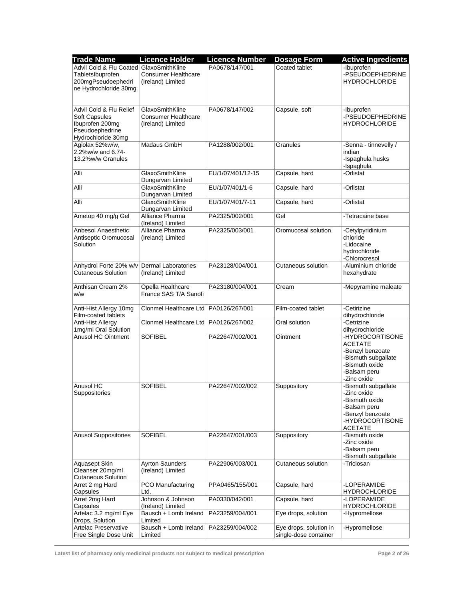| <b>Trade Name</b>                       | <b>Licence Holder</b>                      | <b>Licence Number</b> | <b>Dosage Form</b>     | <b>Active Ingredients</b>               |
|-----------------------------------------|--------------------------------------------|-----------------------|------------------------|-----------------------------------------|
| Advil Cold & Flu Coated GlaxoSmithKline |                                            | PA0678/147/001        | Coated tablet          | -Ibuprofen                              |
| TabletsIbuprofen                        | <b>Consumer Healthcare</b>                 |                       |                        | -PSEUDOEPHEDRINE                        |
| 200mgPseudoephedri                      | (Ireland) Limited                          |                       |                        | <b>HYDROCHLORIDE</b>                    |
| ne Hydrochloride 30mg                   |                                            |                       |                        |                                         |
|                                         |                                            |                       |                        |                                         |
|                                         |                                            |                       |                        |                                         |
| Advil Cold & Flu Relief                 | GlaxoSmithKline                            | PA0678/147/002        | Capsule, soft          | -Ibuprofen                              |
| Soft Capsules                           | <b>Consumer Healthcare</b>                 |                       |                        | -PSEUDOEPHEDRINE                        |
| Ibuprofen 200mg                         | (Ireland) Limited                          |                       |                        | <b>HYDROCHLORIDE</b>                    |
| Pseudoephedrine<br>Hydrochloride 30mg   |                                            |                       |                        |                                         |
| Agiolax 52%w/w,                         | Madaus GmbH                                | PA1288/002/001        | Granules               | -Senna - tinnevelly /                   |
| 2.2%w/w and 6.74-                       |                                            |                       |                        | indian                                  |
| 13.2%w/w Granules                       |                                            |                       |                        | -Ispaghula husks                        |
|                                         |                                            |                       |                        | -Ispaghula                              |
| Alli                                    | GlaxoSmithKline                            | EU/1/07/401/12-15     | Capsule, hard          | -Orlistat                               |
|                                         | Dungarvan Limited                          |                       |                        |                                         |
| Alli                                    | GlaxoSmithKline                            | EU/1/07/401/1-6       | Capsule, hard          | -Orlistat                               |
|                                         | Dungarvan Limited                          |                       |                        |                                         |
| Alli                                    | GlaxoSmithKline<br>Dungarvan Limited       | EU/1/07/401/7-11      | Capsule, hard          | -Orlistat                               |
| Ametop 40 mg/g Gel                      | Alliance Pharma                            | PA2325/002/001        | Gel                    | -Tetracaine base                        |
|                                         | (Ireland) Limited                          |                       |                        |                                         |
| Anbesol Anaesthetic                     | Alliance Pharma                            | PA2325/003/001        | Oromucosal solution    | -Cetylpyridinium                        |
| Antiseptic Oromucosal                   | (Ireland) Limited                          |                       |                        | chloride                                |
| Solution                                |                                            |                       |                        | -Lidocaine                              |
|                                         |                                            |                       |                        | hydrochloride                           |
|                                         |                                            |                       |                        | -Chlorocresol                           |
| Anhydrol Forte 20% w/v                  | <b>Dermal Laboratories</b>                 | PA23128/004/001       | Cutaneous solution     | -Aluminium chloride                     |
| <b>Cutaneous Solution</b>               | (Ireland) Limited                          |                       |                        | hexahydrate                             |
|                                         |                                            |                       |                        |                                         |
| Anthisan Cream 2%<br>w/w                | Opella Healthcare<br>France SAS T/A Sanofi | PA23180/004/001       | Cream                  | -Mepyramine maleate                     |
|                                         |                                            |                       |                        |                                         |
| Anti-Hist Allergy 10mg                  | Clonmel Healthcare Ltd   PA0126/267/001    |                       | Film-coated tablet     | -Cetirizine                             |
| Film-coated tablets                     |                                            |                       |                        | dihydrochloride                         |
| Anti-Hist Allergy                       | Clonmel Healthcare Ltd   PA0126/267/002    |                       | Oral solution          | -Cetrizine                              |
| 1mg/ml Oral Solution                    |                                            |                       |                        | dihydrochloride                         |
| <b>Anusol HC Ointment</b>               | <b>SOFIBEL</b>                             | PA22647/002/001       | Ointment               | -HYDROCORTISONE                         |
|                                         |                                            |                       |                        | <b>ACETATE</b>                          |
|                                         |                                            |                       |                        | -Benzyl benzoate<br>-Bismuth subgallate |
|                                         |                                            |                       |                        | -Bismuth oxide                          |
|                                         |                                            |                       |                        | -Balsam peru                            |
|                                         |                                            |                       |                        | -Zinc oxide                             |
| Anusol HC                               | SOFIBEL                                    | PA22647/002/002       | Suppository            | -Bismuth subgallate                     |
| Suppositories                           |                                            |                       |                        | -Zinc oxide                             |
|                                         |                                            |                       |                        | -Bismuth oxide                          |
|                                         |                                            |                       |                        | -Balsam peru                            |
|                                         |                                            |                       |                        | -Benzyl benzoate                        |
|                                         |                                            |                       |                        | -HYDROCORTISONE                         |
| <b>Anusol Suppositories</b>             | <b>SOFIBEL</b>                             | PA22647/001/003       | Suppository            | <b>ACETATE</b><br>-Bismuth oxide        |
|                                         |                                            |                       |                        | -Zinc oxide                             |
|                                         |                                            |                       |                        | -Balsam peru                            |
|                                         |                                            |                       |                        | -Bismuth subgallate                     |
| Aquasept Skin                           | <b>Ayrton Saunders</b>                     | PA22906/003/001       | Cutaneous solution     | -Triclosan                              |
| Cleanser 20mg/ml                        | (Ireland) Limited                          |                       |                        |                                         |
| <b>Cutaneous Solution</b>               |                                            |                       |                        |                                         |
| Arret 2 mg Hard                         | PCO Manufacturing                          | PPA0465/155/001       | Capsule, hard          | -LOPERAMIDE                             |
| Capsules                                | Ltd.<br>Johnson & Johnson                  |                       |                        | <b>HYDROCHLORIDE</b>                    |
| Arret 2mg Hard<br>Capsules              | (Ireland) Limited                          | PA0330/042/001        | Capsule, hard          | -LOPERAMIDE<br><b>HYDROCHLORIDE</b>     |
| Artelac 3.2 mg/ml Eye                   | Bausch + Lomb Ireland                      | PA23259/004/001       | Eye drops, solution    | -Hypromellose                           |
| Drops, Solution                         | Limited                                    |                       |                        |                                         |
| Artelac Preservative                    | Bausch + Lomb Ireland                      | PA23259/004/002       | Eye drops, solution in | -Hypromellose                           |
| Free Single Dose Unit                   | Limited                                    |                       | single-dose container  |                                         |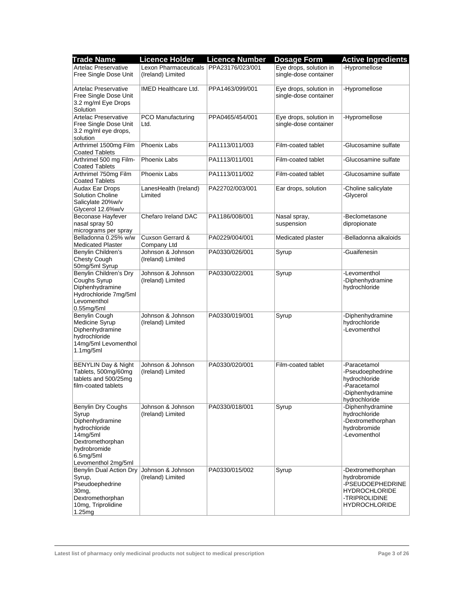| <b>Trade Name</b>                                                                                                                                                            | <b>Licence Holder</b>                                       | <b>Licence Number</b> | <b>Dosage Form</b>                              | <b>Active Ingredients</b>                                                                                              |
|------------------------------------------------------------------------------------------------------------------------------------------------------------------------------|-------------------------------------------------------------|-----------------------|-------------------------------------------------|------------------------------------------------------------------------------------------------------------------------|
| <b>Artelac Preservative</b><br>Free Single Dose Unit                                                                                                                         | Lexon Pharmaceuticals PPA23176/023/001<br>(Ireland) Limited |                       | Eye drops, solution in<br>single-dose container | -Hypromellose                                                                                                          |
| <b>Artelac Preservative</b><br>Free Single Dose Unit<br>3.2 mg/ml Eye Drops<br>Solution                                                                                      | <b>IMED Healthcare Ltd.</b>                                 | PPA1463/099/001       | Eye drops, solution in<br>single-dose container | -Hypromellose                                                                                                          |
| <b>Artelac Preservative</b><br>Free Single Dose Unit<br>3.2 mg/ml eye drops,<br>solution                                                                                     | PCO Manufacturing<br>Ltd.                                   | PPA0465/454/001       | Eye drops, solution in<br>single-dose container | -Hypromellose                                                                                                          |
| Arthrimel 1500mg Film<br><b>Coated Tablets</b>                                                                                                                               | Phoenix Labs                                                | PA1113/011/003        | Film-coated tablet                              | -Glucosamine sulfate                                                                                                   |
| Arthrimel 500 mg Film-<br><b>Coated Tablets</b>                                                                                                                              | <b>Phoenix Labs</b>                                         | PA1113/011/001        | Film-coated tablet                              | -Glucosamine sulfate                                                                                                   |
| Arthrimel 750mg Film<br><b>Coated Tablets</b>                                                                                                                                | Phoenix Labs                                                | PA1113/011/002        | Film-coated tablet                              | -Glucosamine sulfate                                                                                                   |
| Audax Ear Drops<br><b>Solution Choline</b><br>Salicylate 20%w/v<br>Glycerol 12.6%w/v                                                                                         | LanesHealth (Ireland)<br>Limited                            | PA22702/003/001       | Ear drops, solution                             | -Choline salicylate<br>-Glycerol                                                                                       |
| Beconase Hayfever<br>nasal spray 50<br>micrograms per spray                                                                                                                  | Chefaro Ireland DAC                                         | PA1186/008/001        | Nasal spray,<br>suspension                      | -Beclometasone<br>dipropionate                                                                                         |
| Belladonna 0.25% w/w<br><b>Medicated Plaster</b>                                                                                                                             | Cuxson Gerrard &<br>Company Ltd                             | PA0229/004/001        | Medicated plaster                               | -Belladonna alkaloids                                                                                                  |
| Benylin Children's<br><b>Chesty Cough</b><br>50mg/5ml Syrup                                                                                                                  | Johnson & Johnson<br>(Ireland) Limited                      | PA0330/026/001        | Syrup                                           | -Guaifenesin                                                                                                           |
| Benylin Children's Dry<br>Coughs Syrup<br>Diphenhydramine<br>Hydrochloride 7mg/5ml<br>Levomenthol<br>$0.55$ mg/5ml                                                           | Johnson & Johnson<br>(Ireland) Limited                      | PA0330/022/001        | Syrup                                           | -Levomenthol<br>-Diphenhydramine<br>hydrochloride                                                                      |
| Benylin Cough<br>Medicine Syrup<br>Diphenhydramine<br>hydrochloride<br>14mg/5ml Levomenthol<br>1.1mg/5ml                                                                     | Johnson & Johnson<br>(Ireland) Limited                      | PA0330/019/001        | Syrup                                           | -Diphenhydramine<br>hydrochloride<br>-Levomenthol                                                                      |
| <b>BENYLIN Day &amp; Night</b><br>Tablets, 500mg/60mg<br>tablets and 500/25mg<br>film-coated tablets                                                                         | Johnson & Johnson<br>(Ireland) Limited                      | PA0330/020/001        | Film-coated tablet                              | -Paracetamol<br>-Pseudoephedrine<br>hydrochloride<br>-Paracetamol<br>-Diphenhydramine<br>hydrochloride                 |
| Benylin Dry Coughs<br>Syrup<br>Diphenhydramine<br>hydrochloride<br>14mg/5ml<br>Dextromethorphan<br>hydrobromide<br>6.5 <sub>mq</sub> /5 <sub>ml</sub><br>Levomenthol 2mg/5ml | Johnson & Johnson<br>(Ireland) Limited                      | PA0330/018/001        | Syrup                                           | -Diphenhydramine<br>hydrochloride<br>-Dextromethorphan<br>hydrobromide<br>-Levomenthol                                 |
| Benylin Dual Action Dry<br>Syrup,<br>Pseudoephedrine<br>30 <sub>mg</sub><br>Dextromethorphan<br>10mg, Triprolidine<br>1.25mg                                                 | Johnson & Johnson<br>(Ireland) Limited                      | PA0330/015/002        | Syrup                                           | -Dextromethorphan<br>hydrobromide<br>-PSEUDOEPHEDRINE<br><b>HYDROCHLORIDE</b><br>-TRIPROLIDINE<br><b>HYDROCHLORIDE</b> |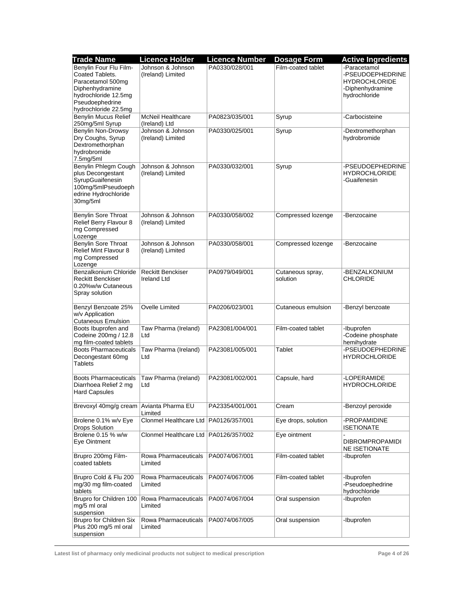| <b>Trade Name</b>                    | <b>Licence Holder</b>                   | <b>Licence Number</b> | <b>Dosage Form</b>  | <b>Active Ingredients</b> |
|--------------------------------------|-----------------------------------------|-----------------------|---------------------|---------------------------|
| Benylin Four Flu Film-               | Johnson & Johnson                       | PA0330/028/001        | Film-coated tablet  | -Paracetamol              |
| Coated Tablets.                      | (Ireland) Limited                       |                       |                     | -PSEUDOEPHEDRINE          |
| Paracetamol 500mg                    |                                         |                       |                     | <b>HYDROCHLORIDE</b>      |
| Diphenhydramine                      |                                         |                       |                     | -Diphenhydramine          |
| hydrochloride 12.5mg                 |                                         |                       |                     | hydrochloride             |
| Pseudoephedrine                      |                                         |                       |                     |                           |
| hydrochloride 22.5mg                 |                                         |                       |                     |                           |
| Benylin Mucus Relief                 | <b>McNeil Healthcare</b>                | PA0823/035/001        | Syrup               | -Carbocisteine            |
| 250mg/5ml Syrup                      | (Ireland) Ltd                           |                       |                     |                           |
| Benylin Non-Drowsy                   | Johnson & Johnson                       | PA0330/025/001        | Syrup               | -Dextromethorphan         |
| Dry Coughs, Syrup                    | (Ireland) Limited                       |                       |                     | hydrobromide              |
| Dextromethorphan<br>hydrobromide     |                                         |                       |                     |                           |
| 7.5mg/5ml                            |                                         |                       |                     |                           |
| Benylin Phlegm Cough                 | Johnson & Johnson                       | PA0330/032/001        | Syrup               | -PSEUDOEPHEDRINE          |
| plus Decongestant                    | (Ireland) Limited                       |                       |                     | <b>HYDROCHLORIDE</b>      |
| SyrupGuaifenesin                     |                                         |                       |                     | -Guaifenesin              |
| 100mg/5mlPseudoeph                   |                                         |                       |                     |                           |
| edrine Hydrochloride                 |                                         |                       |                     |                           |
| 30mg/5ml                             |                                         |                       |                     |                           |
|                                      |                                         |                       |                     |                           |
| <b>Benylin Sore Throat</b>           | Johnson & Johnson                       | PA0330/058/002        | Compressed lozenge  | -Benzocaine               |
| Relief Berry Flavour 8               | (Ireland) Limited                       |                       |                     |                           |
| mg Compressed                        |                                         |                       |                     |                           |
| Lozenge                              |                                         |                       |                     |                           |
| Benylin Sore Throat                  | Johnson & Johnson                       | PA0330/058/001        | Compressed lozenge  | -Benzocaine               |
| Relief Mint Flavour 8                | (Ireland) Limited                       |                       |                     |                           |
| mg Compressed                        |                                         |                       |                     |                           |
| Lozenge<br>Benzalkonium Chloride     | <b>Reckitt Benckiser</b>                | PA0979/049/001        | Cutaneous spray,    | -BENZALKONIUM             |
| <b>Reckitt Benckiser</b>             | Ireland Ltd                             |                       | solution            | <b>CHLORIDE</b>           |
| 0.20%w/w Cutaneous                   |                                         |                       |                     |                           |
| Spray solution                       |                                         |                       |                     |                           |
|                                      |                                         |                       |                     |                           |
| Benzyl Benzoate 25%                  | Ovelle Limited                          | PA0206/023/001        | Cutaneous emulsion  | -Benzyl benzoate          |
| w/v Application                      |                                         |                       |                     |                           |
| <b>Cutaneous Emulsion</b>            |                                         |                       |                     |                           |
| Boots Ibuprofen and                  | Taw Pharma (Ireland)                    | PA23081/004/001       | Film-coated tablet  | -Ibuprofen                |
| Codeine 200mg / 12.8                 | Ltd                                     |                       |                     | -Codeine phosphate        |
| mg film-coated tablets               |                                         |                       |                     | hemihydrate               |
| <b>Boots Pharmaceuticals</b>         | Taw Pharma (Ireland)                    | PA23081/005/001       | Tablet              | -PSEUDOEPHEDRINE          |
| Decongestant 60mg<br><b>Tablets</b>  | Ltd                                     |                       |                     | <b>HYDROCHLORIDE</b>      |
|                                      |                                         |                       |                     |                           |
| <b>Boots Pharmaceuticals</b>         | Taw Pharma (Ireland)                    | PA23081/002/001       | Capsule, hard       | -LOPERAMIDE               |
| Diarrhoea Relief 2 mg                | Ltd                                     |                       |                     | <b>HYDROCHLORIDE</b>      |
| <b>Hard Capsules</b>                 |                                         |                       |                     |                           |
|                                      |                                         |                       |                     |                           |
| Brevoxyl 40mg/g cream                | Avianta Pharma EU                       | PA23354/001/001       | Cream               | -Benzoyl peroxide         |
|                                      | Limited                                 |                       |                     |                           |
| Brolene 0.1% w/v Eye                 | Clonmel Healthcare Ltd   PA0126/357/001 |                       | Eye drops, solution | -PROPAMIDINE              |
| <b>Drops Solution</b>                |                                         |                       |                     | <b>ISETIONATE</b>         |
| Brolene 0.15 % w/w                   | Clonmel Healthcare Ltd PA0126/357/002   |                       | Eye ointment        |                           |
| Eye Ointment                         |                                         |                       |                     | <b>DIBROMPROPAMIDI</b>    |
|                                      |                                         |                       | Film-coated tablet  | <b>NE ISETIONATE</b>      |
| Brupro 200mg Film-<br>coated tablets | Rowa Pharmaceuticals<br>Limited         | PA0074/067/001        |                     | -Ibuprofen                |
|                                      |                                         |                       |                     |                           |
| Brupro Cold & Flu 200                | Rowa Pharmaceuticals                    | PA0074/067/006        | Film-coated tablet  | -Ibuprofen                |
| mg/30 mg film-coated                 | Limited                                 |                       |                     | -Pseudoephedrine          |
| tablets                              |                                         |                       |                     | hydrochloride             |
| Brupro for Children 100              | Rowa Pharmaceuticals                    | PA0074/067/004        | Oral suspension     | -Ibuprofen                |
| mg/5 ml oral                         | Limited                                 |                       |                     |                           |
| suspension                           |                                         |                       |                     |                           |
| Brupro for Children Six              | Rowa Pharmaceuticals                    | PA0074/067/005        | Oral suspension     | -Ibuprofen                |
| Plus 200 mg/5 ml oral                | Limited                                 |                       |                     |                           |
| suspension                           |                                         |                       |                     |                           |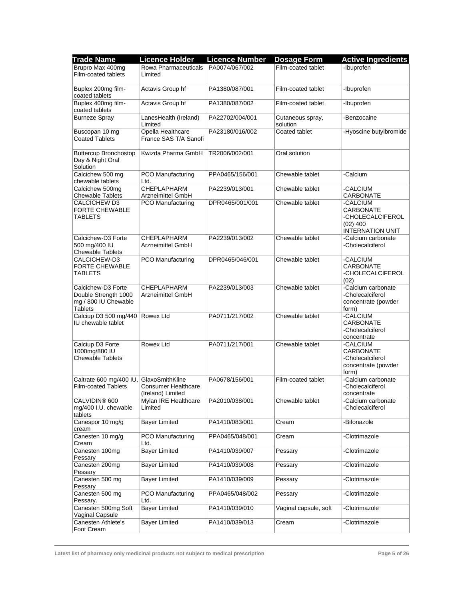| <b>Trade Name</b>                                                                    | <b>Licence Holder</b>                                              | <b>Licence Number</b> | <b>Dosage Form</b>           | <b>Active Ingredients</b>                                                          |
|--------------------------------------------------------------------------------------|--------------------------------------------------------------------|-----------------------|------------------------------|------------------------------------------------------------------------------------|
| Brupro Max 400mg                                                                     | Rowa Pharmaceuticals                                               | PA0074/067/002        | Film-coated tablet           | -Ibuprofen                                                                         |
| Film-coated tablets                                                                  | Limited                                                            |                       |                              |                                                                                    |
| Buplex 200mg film-<br>coated tablets                                                 | Actavis Group hf                                                   | PA1380/087/001        | Film-coated tablet           | -Ibuprofen                                                                         |
| Buplex 400mg film-<br>coated tablets                                                 | Actavis Group hf                                                   | PA1380/087/002        | Film-coated tablet           | -Ibuprofen                                                                         |
| <b>Burneze Spray</b>                                                                 | LanesHealth (Ireland)<br>Limited                                   | PA22702/004/001       | Cutaneous spray,<br>solution | -Benzocaine                                                                        |
| Buscopan 10 mg<br><b>Coated Tablets</b>                                              | Opella Healthcare<br>France SAS T/A Sanofi                         | PA23180/016/002       | Coated tablet                | -Hyoscine butylbromide                                                             |
| <b>Buttercup Bronchostop</b><br>Day & Night Oral<br>Solution                         | Kwizda Pharma GmbH                                                 | TR2006/002/001        | Oral solution                |                                                                                    |
| Calcichew 500 mg<br>chewable tablets                                                 | PCO Manufacturing<br>Ltd.                                          | PPA0465/156/001       | Chewable tablet              | -Calcium                                                                           |
| Calcichew 500mg                                                                      | CHEPLAPHARM                                                        | PA2239/013/001        | Chewable tablet              | -CALCIUM                                                                           |
| <b>Chewable Tablets</b>                                                              | Arzneimittel GmbH                                                  |                       |                              | CARBONATE                                                                          |
| CALCICHEW D3<br><b>FORTE CHEWABLE</b><br><b>TABLETS</b>                              | PCO Manufacturing                                                  | DPR0465/001/001       | Chewable tablet              | -CALCIUM<br>CARBONATE<br>-CHOLECALCIFEROL<br>$(02)$ 400<br><b>INTERNATION UNIT</b> |
| Calcichew-D3 Forte<br>500 mg/400 IU<br><b>Chewable Tablets</b>                       | <b>CHEPLAPHARM</b><br>Arzneimittel GmbH                            | PA2239/013/002        | Chewable tablet              | -Calcium carbonate<br>-Cholecalciferol                                             |
| CALCICHEW-D3<br><b>FORTE CHEWABLE</b><br>TABLETS                                     | PCO Manufacturing                                                  | DPR0465/046/001       | Chewable tablet              | -CALCIUM<br><b>CARBONATE</b><br>-CHOLECALCIFEROL<br>(02)                           |
| Calcichew-D3 Forte<br>Double Strength 1000<br>mg / 800 IU Chewable<br><b>Tablets</b> | <b>CHEPLAPHARM</b><br>Arzneimittel GmbH                            | PA2239/013/003        | Chewable tablet              | -Calcium carbonate<br>-Cholecalciferol<br>concentrate (powder<br>form)             |
| Calciup D3 500 mg/440<br>IU chewable tablet                                          | Rowex Ltd                                                          | PA0711/217/002        | Chewable tablet              | -CALCIUM<br>CARBONATE<br>-Cholecalciferol<br>concentrate                           |
| Calciup D3 Forte<br>1000mg/880 IU<br><b>Chewable Tablets</b>                         | Rowex Ltd                                                          | PA0711/217/001        | Chewable tablet              | -CALCIUM<br>CARBONATE<br>-Cholecalciferol<br>concentrate (powder<br>form)          |
| Caltrate 600 mg/400 IU,<br><b>Film-coated Tablets</b>                                | GlaxoSmithKline<br><b>Consumer Healthcare</b><br>(Ireland) Limited | PA0678/156/001        | Film-coated tablet           | -Calcium carbonate<br>-Cholecalciferol<br>concentrate                              |
| CALVIDIN® 600<br>mg/400 I.U. chewable<br>tablets                                     | Mylan IRE Healthcare<br>Limited                                    | PA2010/038/001        | Chewable tablet              | -Calcium carbonate<br>-Cholecalciferol                                             |
| Canespor 10 mg/g<br>cream                                                            | <b>Bayer Limited</b>                                               | PA1410/083/001        | Cream                        | -Bifonazole                                                                        |
| Canesten 10 mg/g<br>Cream                                                            | <b>PCO Manufacturing</b><br>Ltd.                                   | PPA0465/048/001       | Cream                        | -Clotrimazole                                                                      |
| Canesten 100mg<br>Pessary                                                            | <b>Bayer Limited</b>                                               | PA1410/039/007        | Pessary                      | -Clotrimazole                                                                      |
| Canesten 200mg<br>Pessary                                                            | <b>Bayer Limited</b>                                               | PA1410/039/008        | Pessary                      | -Clotrimazole                                                                      |
| Canesten 500 mg<br>Pessary                                                           | <b>Bayer Limited</b>                                               | PA1410/039/009        | Pessary                      | -Clotrimazole                                                                      |
| Canesten 500 mg<br>Pessary.                                                          | PCO Manufacturing<br>Ltd.                                          | PPA0465/048/002       | Pessary                      | -Clotrimazole                                                                      |
| Canesten 500mg Soft<br>Vaginal Capsule                                               | <b>Bayer Limited</b>                                               | PA1410/039/010        | Vaginal capsule, soft        | -Clotrimazole                                                                      |
| Canesten Athlete's<br>Foot Cream                                                     | <b>Bayer Limited</b>                                               | PA1410/039/013        | Cream                        | -Clotrimazole                                                                      |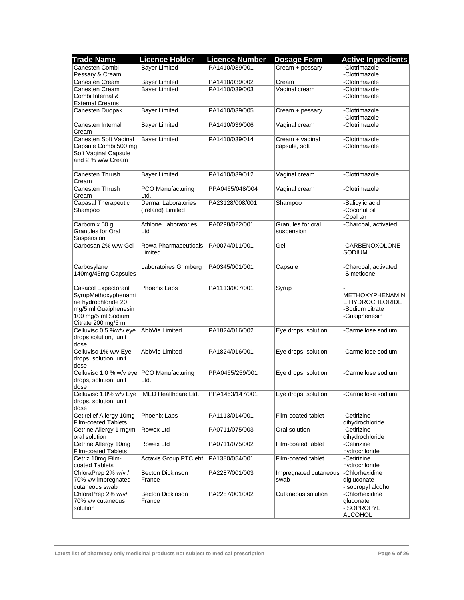| <b>Trade Name</b>                              | <b>Licence Holder</b>       | <b>Licence Number</b> | <b>Dosage Form</b>    | <b>Active Ingredients</b>      |
|------------------------------------------------|-----------------------------|-----------------------|-----------------------|--------------------------------|
| Canesten Combi                                 | <b>Bayer Limited</b>        | PA1410/039/001        | Cream + pessary       | -Clotrimazole                  |
| Pessary & Cream                                |                             |                       |                       | -Clotrimazole                  |
| Canesten Cream                                 | <b>Bayer Limited</b>        | PA1410/039/002        | Cream                 | -Clotrimazole                  |
| Canesten Cream                                 | <b>Bayer Limited</b>        | PA1410/039/003        | Vaginal cream         | -Clotrimazole                  |
| Combi Internal &                               |                             |                       |                       | -Clotrimazole                  |
| <b>External Creams</b>                         |                             |                       |                       |                                |
| Canesten Duopak                                | <b>Bayer Limited</b>        | PA1410/039/005        | Cream + pessary       | -Clotrimazole                  |
|                                                |                             |                       |                       | -Clotrimazole                  |
| Canesten Internal                              | <b>Bayer Limited</b>        | PA1410/039/006        | Vaginal cream         | -Clotrimazole                  |
| Cream<br>Canesten Soft Vaginal                 | <b>Bayer Limited</b>        | PA1410/039/014        | Cream + vaginal       | -Clotrimazole                  |
| Capsule Combi 500 mg                           |                             |                       | capsule, soft         | -Clotrimazole                  |
| Soft Vaginal Capsule                           |                             |                       |                       |                                |
| and 2 % w/w Cream                              |                             |                       |                       |                                |
|                                                |                             |                       |                       |                                |
| Canesten Thrush                                | <b>Bayer Limited</b>        | PA1410/039/012        | Vaginal cream         | -Clotrimazole                  |
| Cream                                          |                             |                       |                       |                                |
| Canesten Thrush                                | PCO Manufacturing           | PPA0465/048/004       | Vaginal cream         | -Clotrimazole                  |
| Cream                                          | Ltd.                        |                       |                       |                                |
| Capasal Therapeutic                            | <b>Dermal Laboratories</b>  | PA23128/008/001       | Shampoo               | -Salicylic acid                |
| Shampoo                                        | (Ireland) Limited           |                       |                       | -Coconut oil                   |
|                                                |                             |                       |                       | -Coal tar                      |
| Carbomix 50 g                                  | <b>Athlone Laboratories</b> | PA0298/022/001        | Granules for oral     | -Charcoal, activated           |
| <b>Granules for Oral</b><br>Suspension         | Ltd                         |                       | suspension            |                                |
| Carbosan 2% w/w Gel                            | Rowa Pharmaceuticals        | PA0074/011/001        | Gel                   | -CARBENOXOLONE                 |
|                                                | Limited                     |                       |                       | SODIUM                         |
|                                                |                             |                       |                       |                                |
| Carbosylane                                    | Laboratoires Grimberg       | PA0345/001/001        | Capsule               | -Charcoal, activated           |
| 140mg/45mg Capsules                            |                             |                       |                       | -Simeticone                    |
|                                                |                             |                       |                       |                                |
| Casacol Expectorant                            | <b>Phoenix Labs</b>         | PA1113/007/001        | Syrup                 |                                |
| SyrupMethoxyphenami                            |                             |                       |                       | <b>METHOXYPHENAMIN</b>         |
| ne hydrochloride 20                            |                             |                       |                       | E HYDROCHLORIDE                |
| mg/5 ml Guaiphenesin                           |                             |                       |                       | -Sodium citrate                |
| 100 mg/5 ml Sodium                             |                             |                       |                       | -Guaiphenesin                  |
| Citrate 200 mg/5 ml<br>Celluvisc 0.5 %w/v eye  | AbbVie Limited              | PA1824/016/002        | Eye drops, solution   | -Carmellose sodium             |
| drops solution, unit                           |                             |                       |                       |                                |
| dose                                           |                             |                       |                       |                                |
| Celluvisc 1% w/v Eye                           | AbbVie Limited              | PA1824/016/001        | Eye drops, solution   | -Carmellose sodium             |
| drops, solution, unit                          |                             |                       |                       |                                |
| dose                                           |                             |                       |                       |                                |
| Celluvisc 1.0 % w/v eye                        | PCO Manufacturing           | PPA0465/259/001       | Eye drops, solution   | -Carmellose sodium             |
| drops, solution, unit                          | Ltd.                        |                       |                       |                                |
| dose                                           |                             |                       |                       |                                |
| Celluvisc 1.0% w/v Eye   IMED Healthcare Ltd.  |                             | PPA1463/147/001       | Eye drops, solution   | Carmellose sodium              |
| drops, solution, unit                          |                             |                       |                       |                                |
| dose                                           |                             |                       | Film-coated tablet    |                                |
| Cetirelief Allergy 10mg<br>Film-coated Tablets | Phoenix Labs                | PA1113/014/001        |                       | -Cetirizine<br>dihydrochloride |
| Cetrine Allergy 1 mg/ml                        | Rowex Ltd                   | PA0711/075/003        | Oral solution         | -Cetirizine                    |
| oral solution                                  |                             |                       |                       | dihydrochloride                |
| Cetrine Allergy 10mg                           | Rowex Ltd                   | PA0711/075/002        | Film-coated tablet    | -Cetirizine                    |
| Film-coated Tablets                            |                             |                       |                       | hydrochloride                  |
| Cetriz 10mg Film-                              | Actavis Group PTC ehf       | PA1380/054/001        | Film-coated tablet    | -Cetirizine                    |
| coated Tablets                                 |                             |                       |                       | hydrochloride                  |
| ChloraPrep 2% w/v /                            | <b>Becton Dickinson</b>     | PA2287/001/003        | Impregnated cutaneous | -Chlorhexidine                 |
| 70% v/v impregnated                            | France                      |                       | swab                  | digluconate                    |
| cutaneous swab                                 |                             |                       |                       | -Isopropyl alcohol             |
| ChloraPrep 2% w/v/                             | <b>Becton Dickinson</b>     | PA2287/001/002        | Cutaneous solution    | -Chlorhexidine                 |
| 70% v/v cutaneous<br>solution                  | France                      |                       |                       | gluconate<br>-ISOPROPYL        |
|                                                |                             |                       |                       | <b>ALCOHOL</b>                 |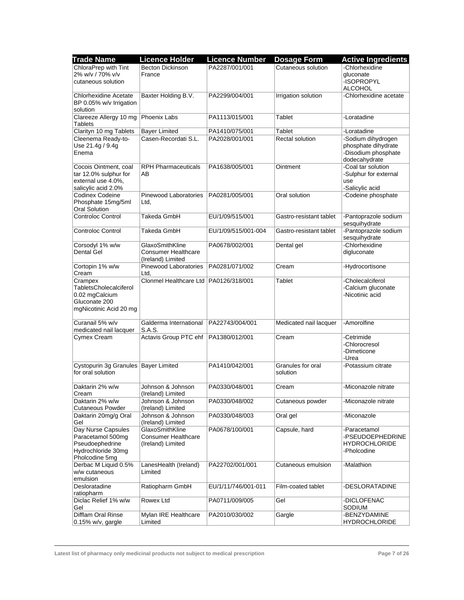| <b>Trade Name</b>                                          | <b>Licence Holder</b>                  | <b>Licence Number</b> | <b>Dosage Form</b>      | <b>Active Ingredients</b>                                   |
|------------------------------------------------------------|----------------------------------------|-----------------------|-------------------------|-------------------------------------------------------------|
| ChloraPrep with Tint                                       | <b>Becton Dickinson</b>                | PA2287/001/001        | Cutaneous solution      | -Chlorhexidine                                              |
| 2% w/v / 70% v/v                                           | France                                 |                       |                         | gluconate                                                   |
| cutaneous solution                                         |                                        |                       |                         | -ISOPROPYL                                                  |
|                                                            |                                        |                       |                         | <b>ALCOHOL</b>                                              |
| <b>Chlorhexidine Acetate</b><br>BP $0.05\%$ w/v Irrigation | Baxter Holding B.V.                    | PA2299/004/001        | Irrigation solution     | -Chlorhexidine acetate                                      |
| solution                                                   |                                        |                       |                         |                                                             |
| Clareeze Allergy 10 mg<br><b>Tablets</b>                   | Phoenix Labs                           | PA1113/015/001        | Tablet                  | -Loratadine                                                 |
| Clarityn 10 mg Tablets                                     | <b>Bayer Limited</b>                   | PA1410/075/001        | Tablet                  | -Loratadine                                                 |
| Cleenema Ready-to-                                         | Casen-Recordati S.L.                   | PA2028/001/001        | <b>Rectal solution</b>  | -Sodium dihydrogen                                          |
| Use 21.4g / 9.4g<br>Enema                                  |                                        |                       |                         | phosphate dihydrate<br>-Disodium phosphate<br>dodecahydrate |
| Cocois Ointment, coal                                      | <b>RPH Pharmaceuticals</b>             | PA1638/005/001        | Ointment                | -Coal tar solution                                          |
| tar 12.0% sulphur for                                      | AВ                                     |                       |                         | -Sulphur for external                                       |
| external use 4.0%,                                         |                                        |                       |                         | use                                                         |
| salicylic acid 2.0%                                        |                                        |                       |                         | -Salicylic acid                                             |
| Codinex Codeine<br>Phosphate 15mg/5ml                      | Pinewood Laboratories<br>Ltd.          | PA0281/005/001        | Oral solution           | -Codeine phosphate                                          |
| <b>Oral Solution</b><br><b>Controloc Control</b>           | Takeda GmbH                            | EU/1/09/515/001       | Gastro-resistant tablet | -Pantoprazole sodium                                        |
|                                                            |                                        |                       |                         | sesquihydrate                                               |
| <b>Controloc Control</b>                                   | Takeda GmbH                            | EU/1/09/515/001-004   | Gastro-resistant tablet | -Pantoprazole sodium<br>sesquihydrate                       |
| Corsodyl 1% w/w                                            | GlaxoSmithKline                        | PA0678/002/001        | Dental gel              | -Chlorhexidine                                              |
| <b>Dental Gel</b>                                          | <b>Consumer Healthcare</b>             |                       |                         | digluconate                                                 |
|                                                            | (Ireland) Limited                      |                       |                         |                                                             |
| Cortopin 1% w/w                                            | Pinewood Laboratories                  | PA0281/071/002        | Cream                   | -Hydrocortisone                                             |
| Cream                                                      | Ltd.                                   |                       |                         |                                                             |
| Crampex                                                    | Clonmel Healthcare Ltd PA0126/318/001  |                       | Tablet                  | -Cholecalciferol                                            |
| TabletsCholecalciferol<br>0.02 mgCalcium                   |                                        |                       |                         | -Calcium gluconate<br>-Nicotinic acid                       |
| Gluconate 200                                              |                                        |                       |                         |                                                             |
| mgNicotinic Acid 20 mg                                     |                                        |                       |                         |                                                             |
|                                                            |                                        |                       |                         |                                                             |
| Curanail 5% w/v                                            | Galderma International                 | PA22743/004/001       | Medicated nail lacquer  | -Amorolfine                                                 |
| medicated nail lacquer                                     | S.A.S.                                 |                       |                         |                                                             |
| Cymex Cream                                                | Actavis Group PTC ehf                  | PA1380/012/001        | Cream                   | -Cetrimide                                                  |
|                                                            |                                        |                       |                         | -Chlorocresol                                               |
|                                                            |                                        |                       |                         | -Dimeticone                                                 |
|                                                            |                                        |                       |                         | -Urea                                                       |
| Cystopurin 3g Granules   Bayer Limited                     |                                        | PA1410/042/001        | Granules for oral       | -Potassium citrate                                          |
| for oral solution                                          |                                        |                       | solution                |                                                             |
|                                                            |                                        |                       |                         |                                                             |
| Daktarin 2% w/w<br>Cream                                   | Johnson & Johnson<br>(Ireland) Limited | PA0330/048/001        | Cream                   | -Miconazole nitrate                                         |
| Daktarin 2% w/w                                            | Johnson & Johnson                      | PA0330/048/002        | Cutaneous powder        | -Miconazole nitrate                                         |
| <b>Cutaneous Powder</b>                                    | (Ireland) Limited                      |                       |                         |                                                             |
| Daktarin 20mg/g Oral                                       | Johnson & Johnson                      | PA0330/048/003        | Oral gel                | -Miconazole                                                 |
| Gel                                                        | (Ireland) Limited                      |                       |                         |                                                             |
| Day Nurse Capsules                                         | GlaxoSmithKline                        | PA0678/100/001        | Capsule, hard           | -Paracetamol                                                |
| Paracetamol 500mg                                          | <b>Consumer Healthcare</b>             |                       |                         | -PSEUDOEPHEDRINE                                            |
| Pseudoephedrine                                            | (Ireland) Limited                      |                       |                         | <b>HYDROCHLORIDE</b>                                        |
| Hydrochloride 30mg                                         |                                        |                       |                         | -Pholcodine                                                 |
| Pholcodine 5mg                                             |                                        |                       |                         |                                                             |
| Derbac M Liquid 0.5%                                       | LanesHealth (Ireland)                  | PA22702/001/001       | Cutaneous emulsion      | -Malathion                                                  |
| w/w cutaneous                                              | Limited                                |                       |                         |                                                             |
| emulsion                                                   |                                        |                       |                         |                                                             |
| Desloratadine                                              | Ratiopharm GmbH                        | EU/1/11/746/001-011   | Film-coated tablet      | -DESLORATADINE                                              |
| ratiopharm                                                 |                                        |                       |                         |                                                             |
| Diclac Relief 1% w/w<br>Gel                                | Rowex Ltd                              | PA0711/009/005        | Gel                     | -DICLOFENAC<br>SODIUM                                       |
| Difflam Oral Rinse                                         | Mylan IRE Healthcare                   | PA2010/030/002        | Gargle                  | -BENZYDAMINE                                                |
| $0.15\%$ w/v, gargle                                       | Limited                                |                       |                         | <b>HYDROCHLORIDE</b>                                        |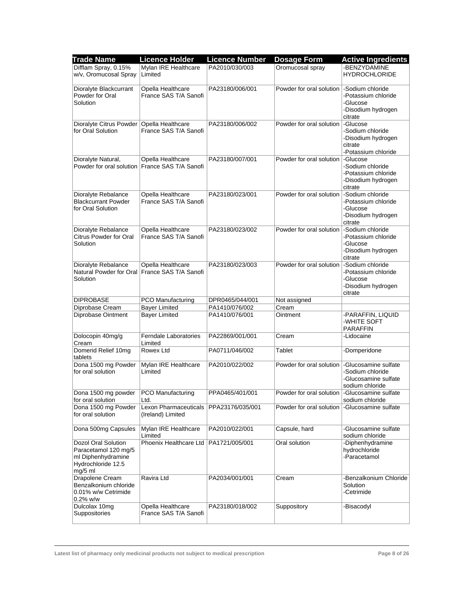| <b>Trade Name</b>          | <b>Licence Holder</b>                            | <b>Licence Number</b> | <b>Dosage Form</b>                             | <b>Active Ingredients</b> |
|----------------------------|--------------------------------------------------|-----------------------|------------------------------------------------|---------------------------|
| Difflam Spray, 0.15%       | Mylan IRE Healthcare                             | PA2010/030/003        | Oromucosal spray                               | -BENZYDAMINE              |
| w/v, Oromucosal Spray      | Limited                                          |                       |                                                | <b>HYDROCHLORIDE</b>      |
|                            |                                                  |                       |                                                |                           |
| Dioralyte Blackcurrant     | Opella Healthcare                                | PA23180/006/001       | Powder for oral solution                       | -Sodium chloride          |
| Powder for Oral            | France SAS T/A Sanofi                            |                       |                                                | -Potassium chloride       |
| Solution                   |                                                  |                       |                                                | -Glucose                  |
|                            |                                                  |                       |                                                |                           |
|                            |                                                  |                       |                                                | -Disodium hydrogen        |
|                            |                                                  |                       |                                                | citrate                   |
| Dioralyte Citrus Powder    | Opella Healthcare                                | PA23180/006/002       | Powder for oral solution                       | -Glucose                  |
| for Oral Solution          | France SAS T/A Sanofi                            |                       |                                                | -Sodium chloride          |
|                            |                                                  |                       |                                                | -Disodium hydrogen        |
|                            |                                                  |                       |                                                | citrate                   |
|                            |                                                  |                       |                                                | -Potassium chloride       |
| Dioralyte Natural,         | Opella Healthcare                                | PA23180/007/001       | Powder for oral solution                       | -Glucose                  |
|                            | Powder for oral solution   France SAS T/A Sanofi |                       |                                                | -Sodium chloride          |
|                            |                                                  |                       |                                                | -Potassium chloride       |
|                            |                                                  |                       |                                                | -Disodium hydrogen        |
|                            |                                                  |                       |                                                | citrate                   |
| Dioralyte Rebalance        | Opella Healthcare                                | PA23180/023/001       | Powder for oral solution  -Sodium chloride     |                           |
| <b>Blackcurrant Powder</b> | France SAS T/A Sanofi                            |                       |                                                | -Potassium chloride       |
| for Oral Solution          |                                                  |                       |                                                | -Glucose                  |
|                            |                                                  |                       |                                                | -Disodium hydrogen        |
|                            |                                                  |                       |                                                | citrate                   |
| Dioralyte Rebalance        | Opella Healthcare                                | PA23180/023/002       | Powder for oral solution  -Sodium chloride     |                           |
| Citrus Powder for Oral     | France SAS T/A Sanofi                            |                       |                                                | -Potassium chloride       |
| Solution                   |                                                  |                       |                                                | -Glucose                  |
|                            |                                                  |                       |                                                | -Disodium hydrogen        |
|                            |                                                  |                       |                                                | citrate                   |
| Dioralyte Rebalance        | Opella Healthcare                                | PA23180/023/003       | Powder for oral solution                       | -Sodium chloride          |
|                            | Natural Powder for Oral France SAS T/A Sanofi    |                       |                                                | -Potassium chloride       |
| Solution                   |                                                  |                       |                                                | -Glucose                  |
|                            |                                                  |                       |                                                | -Disodium hydrogen        |
|                            |                                                  |                       |                                                | citrate                   |
| <b>DIPROBASE</b>           | PCO Manufacturing                                | DPR0465/044/001       | Not assigned                                   |                           |
| Diprobase Cream            | <b>Bayer Limited</b>                             | PA1410/076/002        | Cream                                          |                           |
| Diprobase Ointment         | <b>Bayer Limited</b>                             | PA1410/076/001        | Ointment                                       | -PARAFFIN, LIQUID         |
|                            |                                                  |                       |                                                | -WHITE SOFT               |
|                            |                                                  |                       |                                                | <b>PARAFFIN</b>           |
| Dolocopin 40mg/g           | <b>Ferndale Laboratories</b>                     | PA22869/001/001       | Cream                                          | -Lidocaine                |
| Cream                      | Limited                                          |                       |                                                |                           |
| Domerid Relief 10mg        | Rowex Ltd                                        | PA0711/046/002        | Tablet                                         | -Domperidone              |
| tablets                    |                                                  |                       |                                                |                           |
| Dona 1500 mg Powder        | Mylan IRE Healthcare                             | PA2010/022/002        | Powder for oral solution                       | -Glucosamine sulfate      |
| for oral solution          | Limited                                          |                       |                                                | -Sodium chloride          |
|                            |                                                  |                       |                                                | -Glucosamine sulfate      |
|                            |                                                  |                       |                                                | sodium chloride           |
| Dona 1500 mg powder        | PCO Manufacturing                                | PPA0465/401/001       | Powder for oral solution   Glucosamine sulfate |                           |
| for oral solution          | Ltd.                                             |                       |                                                | sodium chloride           |
| Dona 1500 mg Powder        | Lexon Pharmaceuticals   PPA23176/035/001         |                       | Powder for oral solution                       | -Glucosamine sulfate      |
| for oral solution          | (Ireland) Limited                                |                       |                                                |                           |
|                            |                                                  |                       |                                                |                           |
| Dona 500mg Capsules        | Mylan IRE Healthcare                             | PA2010/022/001        | Capsule, hard                                  | -Glucosamine sulfate      |
|                            | Limited                                          |                       |                                                | sodium chloride           |
| Dozol Oral Solution        | Phoenix Healthcare Ltd                           | PA1721/005/001        | Oral solution                                  | -Diphenhydramine          |
| Paracetamol 120 mg/5       |                                                  |                       |                                                | hydrochloride             |
| ml Diphenhydramine         |                                                  |                       |                                                | -Paracetamol              |
| Hydrochloride 12.5         |                                                  |                       |                                                |                           |
| $mg/5$ ml                  |                                                  |                       |                                                |                           |
| Drapolene Cream            | Ravira Ltd                                       | PA2034/001/001        | Cream                                          | -Benzalkonium Chloride    |
| Benzalkonium chloride      |                                                  |                       |                                                | Solution                  |
| 0.01% w/w Cetrimide        |                                                  |                       |                                                | -Cetrimide                |
| $0.2\%$ w/w                |                                                  |                       |                                                |                           |
| Dulcolax 10mg              | Opella Healthcare                                | PA23180/018/002       | Suppository                                    | -Bisacodyl                |
| Suppositories              | France SAS T/A Sanofi                            |                       |                                                |                           |
|                            |                                                  |                       |                                                |                           |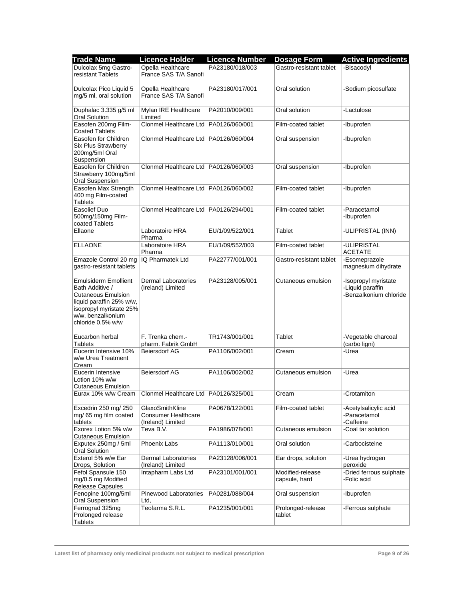| <b>Trade Name</b>                                                                                                                                                            | <b>Licence Holder</b>                                              | <b>Licence Number</b> | <b>Dosage Form</b>                | <b>Active Ingredients</b>                                          |
|------------------------------------------------------------------------------------------------------------------------------------------------------------------------------|--------------------------------------------------------------------|-----------------------|-----------------------------------|--------------------------------------------------------------------|
| Dulcolax 5mg Gastro-                                                                                                                                                         | Opella Healthcare                                                  | PA23180/018/003       | Gastro-resistant tablet           | -Bisacodyl                                                         |
| resistant Tablets                                                                                                                                                            | France SAS T/A Sanofi                                              |                       |                                   |                                                                    |
| Dulcolax Pico Liquid 5                                                                                                                                                       | Opella Healthcare                                                  | PA23180/017/001       | Oral solution                     | -Sodium picosulfate                                                |
| mg/5 ml, oral solution                                                                                                                                                       | France SAS T/A Sanofi                                              |                       |                                   |                                                                    |
| Duphalac 3.335 g/5 ml<br>Oral Solution                                                                                                                                       | Mylan IRE Healthcare<br>Limited                                    | PA2010/009/001        | Oral solution                     | -Lactulose                                                         |
| Easofen 200mg Film-<br><b>Coated Tablets</b>                                                                                                                                 | Clonmel Healthcare Ltd   PA0126/060/001                            |                       | Film-coated tablet                | -Ibuprofen                                                         |
| Easofen for Children<br><b>Six Plus Strawberry</b><br>200mg/5ml Oral<br>Suspension                                                                                           | Clonmel Healthcare Ltd   PA0126/060/004                            |                       | Oral suspension                   | -Ibuprofen                                                         |
| Easofen for Children<br>Strawberry 100mg/5ml<br><b>Oral Suspension</b>                                                                                                       | Clonmel Healthcare Ltd   PA0126/060/003                            |                       | Oral suspension                   | -Ibuprofen                                                         |
| Easofen Max Strength<br>400 mg Film-coated<br><b>Tablets</b>                                                                                                                 | Clonmel Healthcare Ltd   PA0126/060/002                            |                       | Film-coated tablet                | -Ibuprofen                                                         |
| Easolief Duo<br>500mg/150mg Film-<br>coated Tablets                                                                                                                          | Clonmel Healthcare Ltd   PA0126/294/001                            |                       | Film-coated tablet                | -Paracetamol<br>-Ibuprofen                                         |
| Ellaone                                                                                                                                                                      | Laboratoire HRA<br>Pharma                                          | EU/1/09/522/001       | Tablet                            | -ULIPRISTAL (INN)                                                  |
| <b>ELLAONE</b>                                                                                                                                                               | Laboratoire HRA<br>Pharma                                          | EU/1/09/552/003       | Film-coated tablet                | -ULIPRISTAL<br><b>ACETATE</b>                                      |
| Emazole Control 20 mg<br>gastro-resistant tablets                                                                                                                            | IQ Pharmatek Ltd                                                   | PA22777/001/001       | Gastro-resistant tablet           | -Esomeprazole<br>magnesium dihydrate                               |
| <b>Emulsiderm Emollient</b><br>Bath Additive /<br><b>Cutaneous Emulsion</b><br>liquid paraffin 25% w/w,<br>isopropyl myristate 25%<br>w/w, benzalkonium<br>chloride 0.5% w/w | Dermal Laboratories<br>(Ireland) Limited                           | PA23128/005/001       | Cutaneous emulsion                | -Isopropyl myristate<br>-Liquid paraffin<br>-Benzalkonium chloride |
| Eucarbon herbal<br>Tablets                                                                                                                                                   | F. Trenka chem.-<br>pharm. Fabrik GmbH                             | TR1743/001/001        | Tablet                            | -Vegetable charcoal<br>(carbo ligni)                               |
| Eucerin Intensive 10%<br>w/w Urea Treatment<br>Cream                                                                                                                         | <b>Beiersdorf AG</b>                                               | PA1106/002/001        | Cream                             | -Urea                                                              |
| Eucerin Intensive<br>Lotion 10% w/w<br><b>Cutaneous Emulsion</b>                                                                                                             | <b>Beiersdorf AG</b>                                               | PA1106/002/002        | Cutaneous emulsion                | -Urea                                                              |
|                                                                                                                                                                              | Eurax 10% w/w Cream Clonmel Healthcare Ltd PA0126/325/001          |                       | Cream                             | -Crotamiton                                                        |
| Excedrin 250 mg/ 250<br>mg/65 mg film coated<br>tablets                                                                                                                      | GlaxoSmithKline<br><b>Consumer Healthcare</b><br>(Ireland) Limited | PA0678/122/001        | Film-coated tablet                | -Acetylsalicylic acid<br>-Paracetamol<br>-Caffeine                 |
| Exorex Lotion 5% v/w<br><b>Cutaneous Emulsion</b>                                                                                                                            | Teva B.V.                                                          | PA1986/078/001        | Cutaneous emulsion                | -Coal tar solution                                                 |
| Exputex 250mg / 5ml<br>Oral Solution                                                                                                                                         | Phoenix Labs                                                       | PA1113/010/001        | Oral solution                     | -Carbocisteine                                                     |
| Exterol 5% w/w Ear<br>Drops, Solution                                                                                                                                        | <b>Dermal Laboratories</b><br>(Ireland) Limited                    | PA23128/006/001       | Ear drops, solution               | -Urea hydrogen<br>peroxide                                         |
| Fefol Spansule 150<br>mg/0.5 mg Modified<br><b>Release Capsules</b>                                                                                                          | Intapharm Labs Ltd                                                 | PA23101/001/001       | Modified-release<br>capsule, hard | -Dried ferrous sulphate<br>-Folic acid                             |
| Fenopine 100mg/5ml<br>Oral Suspension                                                                                                                                        | Pinewood Laboratories<br>Ltd.                                      | PA0281/088/004        | Oral suspension                   | -Ibuprofen                                                         |
| Ferrograd 325mg<br>Prolonged release<br><b>Tablets</b>                                                                                                                       | Teofarma S.R.L.                                                    | PA1235/001/001        | Prolonged-release<br>tablet       | -Ferrous sulphate                                                  |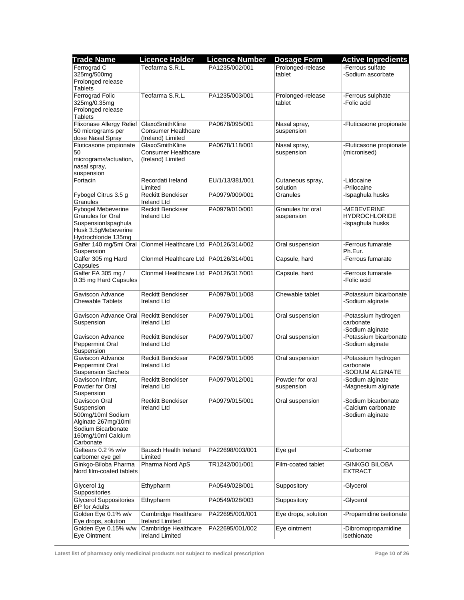| Teofarma S.R.L.<br>PA1235/002/001<br>-Ferrous sulfate<br>Prolonged-release<br>tablet<br>-Sodium ascorbate<br>Prolonged release<br><b>Tablets</b><br>Teofarma S.R.L.<br>Ferrograd Folic<br>PA1235/003/001<br>Prolonged-release<br>-Ferrous sulphate<br>325mg/0.35mg<br>tablet<br>-Folic acid<br>Prolonged release<br><b>Tablets</b><br>Flixonase Allergy Relief<br>GlaxoSmithKline<br>PA0678/095/001<br>-Fluticasone propionate<br>Nasal spray,<br>50 micrograms per<br><b>Consumer Healthcare</b><br>suspension<br>(Ireland) Limited<br>Fluticasone propionate<br>GlaxoSmithKline<br>PA0678/118/001<br>Nasal spray,<br>-Fluticasone propionate<br>50<br><b>Consumer Healthcare</b><br>suspension<br>(micronised)<br>micrograms/actuation,<br>(Ireland) Limited<br>nasal spray,<br>suspension<br>-Lidocaine<br>Recordati Ireland<br>EU/1/13/381/001<br>Cutaneous spray,<br>-Prilocaine<br>Limited<br>solution<br><b>Reckitt Benckiser</b><br>PA0979/009/001<br>Granules<br>-Ispaghula husks<br><b>Ireland Ltd</b><br>Fybogel Mebeverine<br><b>Reckitt Benckiser</b><br>PA0979/010/001<br>Granules for oral<br>-MEBEVERINE<br><b>Granules for Oral</b><br><b>Ireland Ltd</b><br><b>HYDROCHLORIDE</b><br>suspension<br>SuspensionIspaghula<br>-Ispaghula husks<br>Husk 3.5gMebeverine<br>Hydrochloride 135mg<br>Clonmel Healthcare Ltd   PA0126/314/002<br>-Ferrous fumarate<br>Galfer 140 mg/5ml Oral<br>Oral suspension<br>Ph.Eur.<br>Galfer 305 mg Hard<br>Clonmel Healthcare Ltd   PA0126/314/001<br>-Ferrous fumarate<br>Capsule, hard<br>Capsules<br>Galfer FA 305 mg /<br>Clonmel Healthcare Ltd   PA0126/317/001<br>Capsule, hard<br>-Ferrous fumarate<br>0.35 mg Hard Capsules<br>-Folic acid<br><b>Reckitt Benckiser</b><br>Chewable tablet<br>-Potassium bicarbonate<br>Gaviscon Advance<br>PA0979/011/008<br>-Sodium alginate<br>Ireland Ltd<br>Oral suspension<br>Gaviscon Advance Oral   Reckitt Benckiser<br>PA0979/011/001<br>-Potassium hydrogen<br><b>Ireland Ltd</b><br>carbonate<br>Suspension<br>-Sodium alginate<br>-Potassium bicarbonate<br>Gaviscon Advance<br><b>Reckitt Benckiser</b><br>PA0979/011/007<br>Oral suspension<br>-Sodium alginate<br>Peppermint Oral<br>Ireland Ltd<br>Suspension<br><b>Reckitt Benckiser</b><br>PA0979/011/006<br>Oral suspension<br>-Potassium hydrogen<br>carbonate<br>Ireland Ltd<br>-SODIUM ALGINATE<br>Gaviscon Infant,<br><b>Reckitt Benckiser</b><br>PA0979/012/001<br>Powder for oral<br>-Sodium alginate<br>Powder for Oral<br><b>Ireland Ltd</b><br>-Magnesium alginate<br>suspension<br>Suspension<br>-Sodium bicarbonate<br>Gaviscon Oral<br><b>Reckitt Benckiser</b><br>PA0979/015/001<br>Oral suspension<br><b>Ireland Ltd</b><br>-Calcium carbonate<br>Suspension<br>-Sodium alginate<br>500mg/10ml Sodium<br>160mg/10ml Calcium<br>Carbonate<br>Geltears 0.2 % w/w<br>Bausch Health Ireland<br>Eye gel<br>PA22698/003/001<br>-Carbomer<br>carbomer eye gel<br>Limited<br>Pharma Nord ApS<br>Ginkgo-Biloba Pharma<br>TR1242/001/001<br>Film-coated tablet<br>-GINKGO BILOBA<br><b>EXTRACT</b><br>Ethypharm<br>Suppository<br>-Glycerol<br>PA0549/028/001<br><b>Glycerol Suppositories</b><br>Ethypharm<br>Suppository<br>-Glycerol<br>PA0549/028/003<br><b>BP</b> for Adults<br>Golden Eye 0.1% w/v<br>Cambridge Healthcare<br>Eye drops, solution<br>-Propamidine isetionate<br>PA22695/001/001<br>Eye drops, solution<br><b>Ireland Limited</b><br>Cambridge Healthcare<br>Eye ointment<br>-Dibromopropamidine<br>PA22695/001/002<br><b>Ireland Limited</b><br>isethionate | <b>Trade Name</b>         | <b>Licence Holder</b> | <b>Licence Number</b> | <b>Dosage Form</b> | <b>Active Ingredients</b> |
|---------------------------------------------------------------------------------------------------------------------------------------------------------------------------------------------------------------------------------------------------------------------------------------------------------------------------------------------------------------------------------------------------------------------------------------------------------------------------------------------------------------------------------------------------------------------------------------------------------------------------------------------------------------------------------------------------------------------------------------------------------------------------------------------------------------------------------------------------------------------------------------------------------------------------------------------------------------------------------------------------------------------------------------------------------------------------------------------------------------------------------------------------------------------------------------------------------------------------------------------------------------------------------------------------------------------------------------------------------------------------------------------------------------------------------------------------------------------------------------------------------------------------------------------------------------------------------------------------------------------------------------------------------------------------------------------------------------------------------------------------------------------------------------------------------------------------------------------------------------------------------------------------------------------------------------------------------------------------------------------------------------------------------------------------------------------------------------------------------------------------------------------------------------------------------------------------------------------------------------------------------------------------------------------------------------------------------------------------------------------------------------------------------------------------------------------------------------------------------------------------------------------------------------------------------------------------------------------------------------------------------------------------------------------------------------------------------------------------------------------------------------------------------------------------------------------------------------------------------------------------------------------------------------------------------------------------------------------------------------------------------------------------------------------------------------------------------------------------------------------------------------------------------------------------------------------------------------------------------------------------------------------------------------------------------------------------------------------------------------------------------------------------------------------------------------------------------------------------------------------------------------------------------------------------|---------------------------|-----------------------|-----------------------|--------------------|---------------------------|
|                                                                                                                                                                                                                                                                                                                                                                                                                                                                                                                                                                                                                                                                                                                                                                                                                                                                                                                                                                                                                                                                                                                                                                                                                                                                                                                                                                                                                                                                                                                                                                                                                                                                                                                                                                                                                                                                                                                                                                                                                                                                                                                                                                                                                                                                                                                                                                                                                                                                                                                                                                                                                                                                                                                                                                                                                                                                                                                                                                                                                                                                                                                                                                                                                                                                                                                                                                                                                                                                                                                                                   | Ferrograd C               |                       |                       |                    |                           |
|                                                                                                                                                                                                                                                                                                                                                                                                                                                                                                                                                                                                                                                                                                                                                                                                                                                                                                                                                                                                                                                                                                                                                                                                                                                                                                                                                                                                                                                                                                                                                                                                                                                                                                                                                                                                                                                                                                                                                                                                                                                                                                                                                                                                                                                                                                                                                                                                                                                                                                                                                                                                                                                                                                                                                                                                                                                                                                                                                                                                                                                                                                                                                                                                                                                                                                                                                                                                                                                                                                                                                   | 325mg/500mg               |                       |                       |                    |                           |
|                                                                                                                                                                                                                                                                                                                                                                                                                                                                                                                                                                                                                                                                                                                                                                                                                                                                                                                                                                                                                                                                                                                                                                                                                                                                                                                                                                                                                                                                                                                                                                                                                                                                                                                                                                                                                                                                                                                                                                                                                                                                                                                                                                                                                                                                                                                                                                                                                                                                                                                                                                                                                                                                                                                                                                                                                                                                                                                                                                                                                                                                                                                                                                                                                                                                                                                                                                                                                                                                                                                                                   |                           |                       |                       |                    |                           |
|                                                                                                                                                                                                                                                                                                                                                                                                                                                                                                                                                                                                                                                                                                                                                                                                                                                                                                                                                                                                                                                                                                                                                                                                                                                                                                                                                                                                                                                                                                                                                                                                                                                                                                                                                                                                                                                                                                                                                                                                                                                                                                                                                                                                                                                                                                                                                                                                                                                                                                                                                                                                                                                                                                                                                                                                                                                                                                                                                                                                                                                                                                                                                                                                                                                                                                                                                                                                                                                                                                                                                   |                           |                       |                       |                    |                           |
|                                                                                                                                                                                                                                                                                                                                                                                                                                                                                                                                                                                                                                                                                                                                                                                                                                                                                                                                                                                                                                                                                                                                                                                                                                                                                                                                                                                                                                                                                                                                                                                                                                                                                                                                                                                                                                                                                                                                                                                                                                                                                                                                                                                                                                                                                                                                                                                                                                                                                                                                                                                                                                                                                                                                                                                                                                                                                                                                                                                                                                                                                                                                                                                                                                                                                                                                                                                                                                                                                                                                                   |                           |                       |                       |                    |                           |
|                                                                                                                                                                                                                                                                                                                                                                                                                                                                                                                                                                                                                                                                                                                                                                                                                                                                                                                                                                                                                                                                                                                                                                                                                                                                                                                                                                                                                                                                                                                                                                                                                                                                                                                                                                                                                                                                                                                                                                                                                                                                                                                                                                                                                                                                                                                                                                                                                                                                                                                                                                                                                                                                                                                                                                                                                                                                                                                                                                                                                                                                                                                                                                                                                                                                                                                                                                                                                                                                                                                                                   |                           |                       |                       |                    |                           |
|                                                                                                                                                                                                                                                                                                                                                                                                                                                                                                                                                                                                                                                                                                                                                                                                                                                                                                                                                                                                                                                                                                                                                                                                                                                                                                                                                                                                                                                                                                                                                                                                                                                                                                                                                                                                                                                                                                                                                                                                                                                                                                                                                                                                                                                                                                                                                                                                                                                                                                                                                                                                                                                                                                                                                                                                                                                                                                                                                                                                                                                                                                                                                                                                                                                                                                                                                                                                                                                                                                                                                   |                           |                       |                       |                    |                           |
|                                                                                                                                                                                                                                                                                                                                                                                                                                                                                                                                                                                                                                                                                                                                                                                                                                                                                                                                                                                                                                                                                                                                                                                                                                                                                                                                                                                                                                                                                                                                                                                                                                                                                                                                                                                                                                                                                                                                                                                                                                                                                                                                                                                                                                                                                                                                                                                                                                                                                                                                                                                                                                                                                                                                                                                                                                                                                                                                                                                                                                                                                                                                                                                                                                                                                                                                                                                                                                                                                                                                                   |                           |                       |                       |                    |                           |
|                                                                                                                                                                                                                                                                                                                                                                                                                                                                                                                                                                                                                                                                                                                                                                                                                                                                                                                                                                                                                                                                                                                                                                                                                                                                                                                                                                                                                                                                                                                                                                                                                                                                                                                                                                                                                                                                                                                                                                                                                                                                                                                                                                                                                                                                                                                                                                                                                                                                                                                                                                                                                                                                                                                                                                                                                                                                                                                                                                                                                                                                                                                                                                                                                                                                                                                                                                                                                                                                                                                                                   |                           |                       |                       |                    |                           |
|                                                                                                                                                                                                                                                                                                                                                                                                                                                                                                                                                                                                                                                                                                                                                                                                                                                                                                                                                                                                                                                                                                                                                                                                                                                                                                                                                                                                                                                                                                                                                                                                                                                                                                                                                                                                                                                                                                                                                                                                                                                                                                                                                                                                                                                                                                                                                                                                                                                                                                                                                                                                                                                                                                                                                                                                                                                                                                                                                                                                                                                                                                                                                                                                                                                                                                                                                                                                                                                                                                                                                   | dose Nasal Spray          |                       |                       |                    |                           |
|                                                                                                                                                                                                                                                                                                                                                                                                                                                                                                                                                                                                                                                                                                                                                                                                                                                                                                                                                                                                                                                                                                                                                                                                                                                                                                                                                                                                                                                                                                                                                                                                                                                                                                                                                                                                                                                                                                                                                                                                                                                                                                                                                                                                                                                                                                                                                                                                                                                                                                                                                                                                                                                                                                                                                                                                                                                                                                                                                                                                                                                                                                                                                                                                                                                                                                                                                                                                                                                                                                                                                   |                           |                       |                       |                    |                           |
|                                                                                                                                                                                                                                                                                                                                                                                                                                                                                                                                                                                                                                                                                                                                                                                                                                                                                                                                                                                                                                                                                                                                                                                                                                                                                                                                                                                                                                                                                                                                                                                                                                                                                                                                                                                                                                                                                                                                                                                                                                                                                                                                                                                                                                                                                                                                                                                                                                                                                                                                                                                                                                                                                                                                                                                                                                                                                                                                                                                                                                                                                                                                                                                                                                                                                                                                                                                                                                                                                                                                                   |                           |                       |                       |                    |                           |
|                                                                                                                                                                                                                                                                                                                                                                                                                                                                                                                                                                                                                                                                                                                                                                                                                                                                                                                                                                                                                                                                                                                                                                                                                                                                                                                                                                                                                                                                                                                                                                                                                                                                                                                                                                                                                                                                                                                                                                                                                                                                                                                                                                                                                                                                                                                                                                                                                                                                                                                                                                                                                                                                                                                                                                                                                                                                                                                                                                                                                                                                                                                                                                                                                                                                                                                                                                                                                                                                                                                                                   |                           |                       |                       |                    |                           |
|                                                                                                                                                                                                                                                                                                                                                                                                                                                                                                                                                                                                                                                                                                                                                                                                                                                                                                                                                                                                                                                                                                                                                                                                                                                                                                                                                                                                                                                                                                                                                                                                                                                                                                                                                                                                                                                                                                                                                                                                                                                                                                                                                                                                                                                                                                                                                                                                                                                                                                                                                                                                                                                                                                                                                                                                                                                                                                                                                                                                                                                                                                                                                                                                                                                                                                                                                                                                                                                                                                                                                   |                           |                       |                       |                    |                           |
|                                                                                                                                                                                                                                                                                                                                                                                                                                                                                                                                                                                                                                                                                                                                                                                                                                                                                                                                                                                                                                                                                                                                                                                                                                                                                                                                                                                                                                                                                                                                                                                                                                                                                                                                                                                                                                                                                                                                                                                                                                                                                                                                                                                                                                                                                                                                                                                                                                                                                                                                                                                                                                                                                                                                                                                                                                                                                                                                                                                                                                                                                                                                                                                                                                                                                                                                                                                                                                                                                                                                                   | Fortacin                  |                       |                       |                    |                           |
|                                                                                                                                                                                                                                                                                                                                                                                                                                                                                                                                                                                                                                                                                                                                                                                                                                                                                                                                                                                                                                                                                                                                                                                                                                                                                                                                                                                                                                                                                                                                                                                                                                                                                                                                                                                                                                                                                                                                                                                                                                                                                                                                                                                                                                                                                                                                                                                                                                                                                                                                                                                                                                                                                                                                                                                                                                                                                                                                                                                                                                                                                                                                                                                                                                                                                                                                                                                                                                                                                                                                                   |                           |                       |                       |                    |                           |
|                                                                                                                                                                                                                                                                                                                                                                                                                                                                                                                                                                                                                                                                                                                                                                                                                                                                                                                                                                                                                                                                                                                                                                                                                                                                                                                                                                                                                                                                                                                                                                                                                                                                                                                                                                                                                                                                                                                                                                                                                                                                                                                                                                                                                                                                                                                                                                                                                                                                                                                                                                                                                                                                                                                                                                                                                                                                                                                                                                                                                                                                                                                                                                                                                                                                                                                                                                                                                                                                                                                                                   | Fybogel Citrus 3.5 g      |                       |                       |                    |                           |
|                                                                                                                                                                                                                                                                                                                                                                                                                                                                                                                                                                                                                                                                                                                                                                                                                                                                                                                                                                                                                                                                                                                                                                                                                                                                                                                                                                                                                                                                                                                                                                                                                                                                                                                                                                                                                                                                                                                                                                                                                                                                                                                                                                                                                                                                                                                                                                                                                                                                                                                                                                                                                                                                                                                                                                                                                                                                                                                                                                                                                                                                                                                                                                                                                                                                                                                                                                                                                                                                                                                                                   | Granules                  |                       |                       |                    |                           |
|                                                                                                                                                                                                                                                                                                                                                                                                                                                                                                                                                                                                                                                                                                                                                                                                                                                                                                                                                                                                                                                                                                                                                                                                                                                                                                                                                                                                                                                                                                                                                                                                                                                                                                                                                                                                                                                                                                                                                                                                                                                                                                                                                                                                                                                                                                                                                                                                                                                                                                                                                                                                                                                                                                                                                                                                                                                                                                                                                                                                                                                                                                                                                                                                                                                                                                                                                                                                                                                                                                                                                   |                           |                       |                       |                    |                           |
|                                                                                                                                                                                                                                                                                                                                                                                                                                                                                                                                                                                                                                                                                                                                                                                                                                                                                                                                                                                                                                                                                                                                                                                                                                                                                                                                                                                                                                                                                                                                                                                                                                                                                                                                                                                                                                                                                                                                                                                                                                                                                                                                                                                                                                                                                                                                                                                                                                                                                                                                                                                                                                                                                                                                                                                                                                                                                                                                                                                                                                                                                                                                                                                                                                                                                                                                                                                                                                                                                                                                                   |                           |                       |                       |                    |                           |
|                                                                                                                                                                                                                                                                                                                                                                                                                                                                                                                                                                                                                                                                                                                                                                                                                                                                                                                                                                                                                                                                                                                                                                                                                                                                                                                                                                                                                                                                                                                                                                                                                                                                                                                                                                                                                                                                                                                                                                                                                                                                                                                                                                                                                                                                                                                                                                                                                                                                                                                                                                                                                                                                                                                                                                                                                                                                                                                                                                                                                                                                                                                                                                                                                                                                                                                                                                                                                                                                                                                                                   |                           |                       |                       |                    |                           |
|                                                                                                                                                                                                                                                                                                                                                                                                                                                                                                                                                                                                                                                                                                                                                                                                                                                                                                                                                                                                                                                                                                                                                                                                                                                                                                                                                                                                                                                                                                                                                                                                                                                                                                                                                                                                                                                                                                                                                                                                                                                                                                                                                                                                                                                                                                                                                                                                                                                                                                                                                                                                                                                                                                                                                                                                                                                                                                                                                                                                                                                                                                                                                                                                                                                                                                                                                                                                                                                                                                                                                   |                           |                       |                       |                    |                           |
|                                                                                                                                                                                                                                                                                                                                                                                                                                                                                                                                                                                                                                                                                                                                                                                                                                                                                                                                                                                                                                                                                                                                                                                                                                                                                                                                                                                                                                                                                                                                                                                                                                                                                                                                                                                                                                                                                                                                                                                                                                                                                                                                                                                                                                                                                                                                                                                                                                                                                                                                                                                                                                                                                                                                                                                                                                                                                                                                                                                                                                                                                                                                                                                                                                                                                                                                                                                                                                                                                                                                                   |                           |                       |                       |                    |                           |
|                                                                                                                                                                                                                                                                                                                                                                                                                                                                                                                                                                                                                                                                                                                                                                                                                                                                                                                                                                                                                                                                                                                                                                                                                                                                                                                                                                                                                                                                                                                                                                                                                                                                                                                                                                                                                                                                                                                                                                                                                                                                                                                                                                                                                                                                                                                                                                                                                                                                                                                                                                                                                                                                                                                                                                                                                                                                                                                                                                                                                                                                                                                                                                                                                                                                                                                                                                                                                                                                                                                                                   | Suspension                |                       |                       |                    |                           |
|                                                                                                                                                                                                                                                                                                                                                                                                                                                                                                                                                                                                                                                                                                                                                                                                                                                                                                                                                                                                                                                                                                                                                                                                                                                                                                                                                                                                                                                                                                                                                                                                                                                                                                                                                                                                                                                                                                                                                                                                                                                                                                                                                                                                                                                                                                                                                                                                                                                                                                                                                                                                                                                                                                                                                                                                                                                                                                                                                                                                                                                                                                                                                                                                                                                                                                                                                                                                                                                                                                                                                   |                           |                       |                       |                    |                           |
|                                                                                                                                                                                                                                                                                                                                                                                                                                                                                                                                                                                                                                                                                                                                                                                                                                                                                                                                                                                                                                                                                                                                                                                                                                                                                                                                                                                                                                                                                                                                                                                                                                                                                                                                                                                                                                                                                                                                                                                                                                                                                                                                                                                                                                                                                                                                                                                                                                                                                                                                                                                                                                                                                                                                                                                                                                                                                                                                                                                                                                                                                                                                                                                                                                                                                                                                                                                                                                                                                                                                                   |                           |                       |                       |                    |                           |
|                                                                                                                                                                                                                                                                                                                                                                                                                                                                                                                                                                                                                                                                                                                                                                                                                                                                                                                                                                                                                                                                                                                                                                                                                                                                                                                                                                                                                                                                                                                                                                                                                                                                                                                                                                                                                                                                                                                                                                                                                                                                                                                                                                                                                                                                                                                                                                                                                                                                                                                                                                                                                                                                                                                                                                                                                                                                                                                                                                                                                                                                                                                                                                                                                                                                                                                                                                                                                                                                                                                                                   |                           |                       |                       |                    |                           |
|                                                                                                                                                                                                                                                                                                                                                                                                                                                                                                                                                                                                                                                                                                                                                                                                                                                                                                                                                                                                                                                                                                                                                                                                                                                                                                                                                                                                                                                                                                                                                                                                                                                                                                                                                                                                                                                                                                                                                                                                                                                                                                                                                                                                                                                                                                                                                                                                                                                                                                                                                                                                                                                                                                                                                                                                                                                                                                                                                                                                                                                                                                                                                                                                                                                                                                                                                                                                                                                                                                                                                   |                           |                       |                       |                    |                           |
|                                                                                                                                                                                                                                                                                                                                                                                                                                                                                                                                                                                                                                                                                                                                                                                                                                                                                                                                                                                                                                                                                                                                                                                                                                                                                                                                                                                                                                                                                                                                                                                                                                                                                                                                                                                                                                                                                                                                                                                                                                                                                                                                                                                                                                                                                                                                                                                                                                                                                                                                                                                                                                                                                                                                                                                                                                                                                                                                                                                                                                                                                                                                                                                                                                                                                                                                                                                                                                                                                                                                                   |                           |                       |                       |                    |                           |
|                                                                                                                                                                                                                                                                                                                                                                                                                                                                                                                                                                                                                                                                                                                                                                                                                                                                                                                                                                                                                                                                                                                                                                                                                                                                                                                                                                                                                                                                                                                                                                                                                                                                                                                                                                                                                                                                                                                                                                                                                                                                                                                                                                                                                                                                                                                                                                                                                                                                                                                                                                                                                                                                                                                                                                                                                                                                                                                                                                                                                                                                                                                                                                                                                                                                                                                                                                                                                                                                                                                                                   | <b>Chewable Tablets</b>   |                       |                       |                    |                           |
|                                                                                                                                                                                                                                                                                                                                                                                                                                                                                                                                                                                                                                                                                                                                                                                                                                                                                                                                                                                                                                                                                                                                                                                                                                                                                                                                                                                                                                                                                                                                                                                                                                                                                                                                                                                                                                                                                                                                                                                                                                                                                                                                                                                                                                                                                                                                                                                                                                                                                                                                                                                                                                                                                                                                                                                                                                                                                                                                                                                                                                                                                                                                                                                                                                                                                                                                                                                                                                                                                                                                                   |                           |                       |                       |                    |                           |
|                                                                                                                                                                                                                                                                                                                                                                                                                                                                                                                                                                                                                                                                                                                                                                                                                                                                                                                                                                                                                                                                                                                                                                                                                                                                                                                                                                                                                                                                                                                                                                                                                                                                                                                                                                                                                                                                                                                                                                                                                                                                                                                                                                                                                                                                                                                                                                                                                                                                                                                                                                                                                                                                                                                                                                                                                                                                                                                                                                                                                                                                                                                                                                                                                                                                                                                                                                                                                                                                                                                                                   |                           |                       |                       |                    |                           |
|                                                                                                                                                                                                                                                                                                                                                                                                                                                                                                                                                                                                                                                                                                                                                                                                                                                                                                                                                                                                                                                                                                                                                                                                                                                                                                                                                                                                                                                                                                                                                                                                                                                                                                                                                                                                                                                                                                                                                                                                                                                                                                                                                                                                                                                                                                                                                                                                                                                                                                                                                                                                                                                                                                                                                                                                                                                                                                                                                                                                                                                                                                                                                                                                                                                                                                                                                                                                                                                                                                                                                   |                           |                       |                       |                    |                           |
|                                                                                                                                                                                                                                                                                                                                                                                                                                                                                                                                                                                                                                                                                                                                                                                                                                                                                                                                                                                                                                                                                                                                                                                                                                                                                                                                                                                                                                                                                                                                                                                                                                                                                                                                                                                                                                                                                                                                                                                                                                                                                                                                                                                                                                                                                                                                                                                                                                                                                                                                                                                                                                                                                                                                                                                                                                                                                                                                                                                                                                                                                                                                                                                                                                                                                                                                                                                                                                                                                                                                                   |                           |                       |                       |                    |                           |
|                                                                                                                                                                                                                                                                                                                                                                                                                                                                                                                                                                                                                                                                                                                                                                                                                                                                                                                                                                                                                                                                                                                                                                                                                                                                                                                                                                                                                                                                                                                                                                                                                                                                                                                                                                                                                                                                                                                                                                                                                                                                                                                                                                                                                                                                                                                                                                                                                                                                                                                                                                                                                                                                                                                                                                                                                                                                                                                                                                                                                                                                                                                                                                                                                                                                                                                                                                                                                                                                                                                                                   |                           |                       |                       |                    |                           |
|                                                                                                                                                                                                                                                                                                                                                                                                                                                                                                                                                                                                                                                                                                                                                                                                                                                                                                                                                                                                                                                                                                                                                                                                                                                                                                                                                                                                                                                                                                                                                                                                                                                                                                                                                                                                                                                                                                                                                                                                                                                                                                                                                                                                                                                                                                                                                                                                                                                                                                                                                                                                                                                                                                                                                                                                                                                                                                                                                                                                                                                                                                                                                                                                                                                                                                                                                                                                                                                                                                                                                   |                           |                       |                       |                    |                           |
|                                                                                                                                                                                                                                                                                                                                                                                                                                                                                                                                                                                                                                                                                                                                                                                                                                                                                                                                                                                                                                                                                                                                                                                                                                                                                                                                                                                                                                                                                                                                                                                                                                                                                                                                                                                                                                                                                                                                                                                                                                                                                                                                                                                                                                                                                                                                                                                                                                                                                                                                                                                                                                                                                                                                                                                                                                                                                                                                                                                                                                                                                                                                                                                                                                                                                                                                                                                                                                                                                                                                                   | Gaviscon Advance          |                       |                       |                    |                           |
|                                                                                                                                                                                                                                                                                                                                                                                                                                                                                                                                                                                                                                                                                                                                                                                                                                                                                                                                                                                                                                                                                                                                                                                                                                                                                                                                                                                                                                                                                                                                                                                                                                                                                                                                                                                                                                                                                                                                                                                                                                                                                                                                                                                                                                                                                                                                                                                                                                                                                                                                                                                                                                                                                                                                                                                                                                                                                                                                                                                                                                                                                                                                                                                                                                                                                                                                                                                                                                                                                                                                                   | Peppermint Oral           |                       |                       |                    |                           |
|                                                                                                                                                                                                                                                                                                                                                                                                                                                                                                                                                                                                                                                                                                                                                                                                                                                                                                                                                                                                                                                                                                                                                                                                                                                                                                                                                                                                                                                                                                                                                                                                                                                                                                                                                                                                                                                                                                                                                                                                                                                                                                                                                                                                                                                                                                                                                                                                                                                                                                                                                                                                                                                                                                                                                                                                                                                                                                                                                                                                                                                                                                                                                                                                                                                                                                                                                                                                                                                                                                                                                   | <b>Suspension Sachets</b> |                       |                       |                    |                           |
|                                                                                                                                                                                                                                                                                                                                                                                                                                                                                                                                                                                                                                                                                                                                                                                                                                                                                                                                                                                                                                                                                                                                                                                                                                                                                                                                                                                                                                                                                                                                                                                                                                                                                                                                                                                                                                                                                                                                                                                                                                                                                                                                                                                                                                                                                                                                                                                                                                                                                                                                                                                                                                                                                                                                                                                                                                                                                                                                                                                                                                                                                                                                                                                                                                                                                                                                                                                                                                                                                                                                                   |                           |                       |                       |                    |                           |
|                                                                                                                                                                                                                                                                                                                                                                                                                                                                                                                                                                                                                                                                                                                                                                                                                                                                                                                                                                                                                                                                                                                                                                                                                                                                                                                                                                                                                                                                                                                                                                                                                                                                                                                                                                                                                                                                                                                                                                                                                                                                                                                                                                                                                                                                                                                                                                                                                                                                                                                                                                                                                                                                                                                                                                                                                                                                                                                                                                                                                                                                                                                                                                                                                                                                                                                                                                                                                                                                                                                                                   |                           |                       |                       |                    |                           |
|                                                                                                                                                                                                                                                                                                                                                                                                                                                                                                                                                                                                                                                                                                                                                                                                                                                                                                                                                                                                                                                                                                                                                                                                                                                                                                                                                                                                                                                                                                                                                                                                                                                                                                                                                                                                                                                                                                                                                                                                                                                                                                                                                                                                                                                                                                                                                                                                                                                                                                                                                                                                                                                                                                                                                                                                                                                                                                                                                                                                                                                                                                                                                                                                                                                                                                                                                                                                                                                                                                                                                   |                           |                       |                       |                    |                           |
|                                                                                                                                                                                                                                                                                                                                                                                                                                                                                                                                                                                                                                                                                                                                                                                                                                                                                                                                                                                                                                                                                                                                                                                                                                                                                                                                                                                                                                                                                                                                                                                                                                                                                                                                                                                                                                                                                                                                                                                                                                                                                                                                                                                                                                                                                                                                                                                                                                                                                                                                                                                                                                                                                                                                                                                                                                                                                                                                                                                                                                                                                                                                                                                                                                                                                                                                                                                                                                                                                                                                                   |                           |                       |                       |                    |                           |
|                                                                                                                                                                                                                                                                                                                                                                                                                                                                                                                                                                                                                                                                                                                                                                                                                                                                                                                                                                                                                                                                                                                                                                                                                                                                                                                                                                                                                                                                                                                                                                                                                                                                                                                                                                                                                                                                                                                                                                                                                                                                                                                                                                                                                                                                                                                                                                                                                                                                                                                                                                                                                                                                                                                                                                                                                                                                                                                                                                                                                                                                                                                                                                                                                                                                                                                                                                                                                                                                                                                                                   |                           |                       |                       |                    |                           |
|                                                                                                                                                                                                                                                                                                                                                                                                                                                                                                                                                                                                                                                                                                                                                                                                                                                                                                                                                                                                                                                                                                                                                                                                                                                                                                                                                                                                                                                                                                                                                                                                                                                                                                                                                                                                                                                                                                                                                                                                                                                                                                                                                                                                                                                                                                                                                                                                                                                                                                                                                                                                                                                                                                                                                                                                                                                                                                                                                                                                                                                                                                                                                                                                                                                                                                                                                                                                                                                                                                                                                   | Alginate 267mg/10ml       |                       |                       |                    |                           |
|                                                                                                                                                                                                                                                                                                                                                                                                                                                                                                                                                                                                                                                                                                                                                                                                                                                                                                                                                                                                                                                                                                                                                                                                                                                                                                                                                                                                                                                                                                                                                                                                                                                                                                                                                                                                                                                                                                                                                                                                                                                                                                                                                                                                                                                                                                                                                                                                                                                                                                                                                                                                                                                                                                                                                                                                                                                                                                                                                                                                                                                                                                                                                                                                                                                                                                                                                                                                                                                                                                                                                   | Sodium Bicarbonate        |                       |                       |                    |                           |
|                                                                                                                                                                                                                                                                                                                                                                                                                                                                                                                                                                                                                                                                                                                                                                                                                                                                                                                                                                                                                                                                                                                                                                                                                                                                                                                                                                                                                                                                                                                                                                                                                                                                                                                                                                                                                                                                                                                                                                                                                                                                                                                                                                                                                                                                                                                                                                                                                                                                                                                                                                                                                                                                                                                                                                                                                                                                                                                                                                                                                                                                                                                                                                                                                                                                                                                                                                                                                                                                                                                                                   |                           |                       |                       |                    |                           |
|                                                                                                                                                                                                                                                                                                                                                                                                                                                                                                                                                                                                                                                                                                                                                                                                                                                                                                                                                                                                                                                                                                                                                                                                                                                                                                                                                                                                                                                                                                                                                                                                                                                                                                                                                                                                                                                                                                                                                                                                                                                                                                                                                                                                                                                                                                                                                                                                                                                                                                                                                                                                                                                                                                                                                                                                                                                                                                                                                                                                                                                                                                                                                                                                                                                                                                                                                                                                                                                                                                                                                   |                           |                       |                       |                    |                           |
|                                                                                                                                                                                                                                                                                                                                                                                                                                                                                                                                                                                                                                                                                                                                                                                                                                                                                                                                                                                                                                                                                                                                                                                                                                                                                                                                                                                                                                                                                                                                                                                                                                                                                                                                                                                                                                                                                                                                                                                                                                                                                                                                                                                                                                                                                                                                                                                                                                                                                                                                                                                                                                                                                                                                                                                                                                                                                                                                                                                                                                                                                                                                                                                                                                                                                                                                                                                                                                                                                                                                                   |                           |                       |                       |                    |                           |
|                                                                                                                                                                                                                                                                                                                                                                                                                                                                                                                                                                                                                                                                                                                                                                                                                                                                                                                                                                                                                                                                                                                                                                                                                                                                                                                                                                                                                                                                                                                                                                                                                                                                                                                                                                                                                                                                                                                                                                                                                                                                                                                                                                                                                                                                                                                                                                                                                                                                                                                                                                                                                                                                                                                                                                                                                                                                                                                                                                                                                                                                                                                                                                                                                                                                                                                                                                                                                                                                                                                                                   |                           |                       |                       |                    |                           |
|                                                                                                                                                                                                                                                                                                                                                                                                                                                                                                                                                                                                                                                                                                                                                                                                                                                                                                                                                                                                                                                                                                                                                                                                                                                                                                                                                                                                                                                                                                                                                                                                                                                                                                                                                                                                                                                                                                                                                                                                                                                                                                                                                                                                                                                                                                                                                                                                                                                                                                                                                                                                                                                                                                                                                                                                                                                                                                                                                                                                                                                                                                                                                                                                                                                                                                                                                                                                                                                                                                                                                   | Nord film-coated tablets  |                       |                       |                    |                           |
|                                                                                                                                                                                                                                                                                                                                                                                                                                                                                                                                                                                                                                                                                                                                                                                                                                                                                                                                                                                                                                                                                                                                                                                                                                                                                                                                                                                                                                                                                                                                                                                                                                                                                                                                                                                                                                                                                                                                                                                                                                                                                                                                                                                                                                                                                                                                                                                                                                                                                                                                                                                                                                                                                                                                                                                                                                                                                                                                                                                                                                                                                                                                                                                                                                                                                                                                                                                                                                                                                                                                                   |                           |                       |                       |                    |                           |
|                                                                                                                                                                                                                                                                                                                                                                                                                                                                                                                                                                                                                                                                                                                                                                                                                                                                                                                                                                                                                                                                                                                                                                                                                                                                                                                                                                                                                                                                                                                                                                                                                                                                                                                                                                                                                                                                                                                                                                                                                                                                                                                                                                                                                                                                                                                                                                                                                                                                                                                                                                                                                                                                                                                                                                                                                                                                                                                                                                                                                                                                                                                                                                                                                                                                                                                                                                                                                                                                                                                                                   | Glycerol 1g               |                       |                       |                    |                           |
|                                                                                                                                                                                                                                                                                                                                                                                                                                                                                                                                                                                                                                                                                                                                                                                                                                                                                                                                                                                                                                                                                                                                                                                                                                                                                                                                                                                                                                                                                                                                                                                                                                                                                                                                                                                                                                                                                                                                                                                                                                                                                                                                                                                                                                                                                                                                                                                                                                                                                                                                                                                                                                                                                                                                                                                                                                                                                                                                                                                                                                                                                                                                                                                                                                                                                                                                                                                                                                                                                                                                                   | Suppositories             |                       |                       |                    |                           |
|                                                                                                                                                                                                                                                                                                                                                                                                                                                                                                                                                                                                                                                                                                                                                                                                                                                                                                                                                                                                                                                                                                                                                                                                                                                                                                                                                                                                                                                                                                                                                                                                                                                                                                                                                                                                                                                                                                                                                                                                                                                                                                                                                                                                                                                                                                                                                                                                                                                                                                                                                                                                                                                                                                                                                                                                                                                                                                                                                                                                                                                                                                                                                                                                                                                                                                                                                                                                                                                                                                                                                   |                           |                       |                       |                    |                           |
|                                                                                                                                                                                                                                                                                                                                                                                                                                                                                                                                                                                                                                                                                                                                                                                                                                                                                                                                                                                                                                                                                                                                                                                                                                                                                                                                                                                                                                                                                                                                                                                                                                                                                                                                                                                                                                                                                                                                                                                                                                                                                                                                                                                                                                                                                                                                                                                                                                                                                                                                                                                                                                                                                                                                                                                                                                                                                                                                                                                                                                                                                                                                                                                                                                                                                                                                                                                                                                                                                                                                                   |                           |                       |                       |                    |                           |
|                                                                                                                                                                                                                                                                                                                                                                                                                                                                                                                                                                                                                                                                                                                                                                                                                                                                                                                                                                                                                                                                                                                                                                                                                                                                                                                                                                                                                                                                                                                                                                                                                                                                                                                                                                                                                                                                                                                                                                                                                                                                                                                                                                                                                                                                                                                                                                                                                                                                                                                                                                                                                                                                                                                                                                                                                                                                                                                                                                                                                                                                                                                                                                                                                                                                                                                                                                                                                                                                                                                                                   |                           |                       |                       |                    |                           |
|                                                                                                                                                                                                                                                                                                                                                                                                                                                                                                                                                                                                                                                                                                                                                                                                                                                                                                                                                                                                                                                                                                                                                                                                                                                                                                                                                                                                                                                                                                                                                                                                                                                                                                                                                                                                                                                                                                                                                                                                                                                                                                                                                                                                                                                                                                                                                                                                                                                                                                                                                                                                                                                                                                                                                                                                                                                                                                                                                                                                                                                                                                                                                                                                                                                                                                                                                                                                                                                                                                                                                   | Golden Eye 0.15% w/w      |                       |                       |                    |                           |
|                                                                                                                                                                                                                                                                                                                                                                                                                                                                                                                                                                                                                                                                                                                                                                                                                                                                                                                                                                                                                                                                                                                                                                                                                                                                                                                                                                                                                                                                                                                                                                                                                                                                                                                                                                                                                                                                                                                                                                                                                                                                                                                                                                                                                                                                                                                                                                                                                                                                                                                                                                                                                                                                                                                                                                                                                                                                                                                                                                                                                                                                                                                                                                                                                                                                                                                                                                                                                                                                                                                                                   | Eye Ointment              |                       |                       |                    |                           |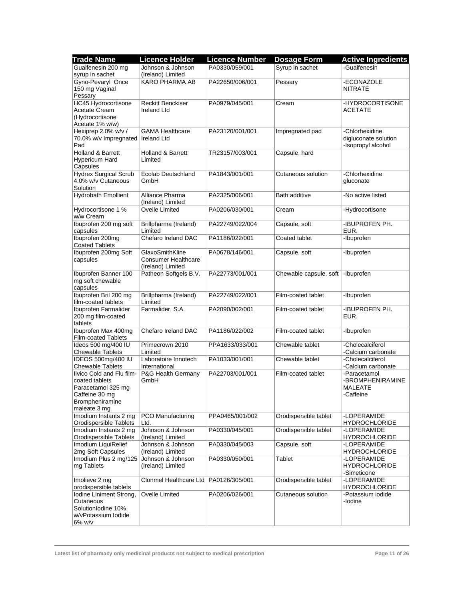| <b>Trade Name</b>                                                                   | <b>Licence Holder</b>                           | <b>Licence Number</b> | <b>Dosage Form</b>     | <b>Active Ingredients</b>                                |
|-------------------------------------------------------------------------------------|-------------------------------------------------|-----------------------|------------------------|----------------------------------------------------------|
| Guaifenesin 200 mg                                                                  | Johnson & Johnson                               | PA0330/059/001        | Syrup in sachet        | -Guaifenesin                                             |
| syrup in sachet                                                                     | (Ireland) Limited                               |                       |                        |                                                          |
| Gyno-Pevaryl Once<br>150 mg Vaginal                                                 | <b>KARO PHARMA AB</b>                           | PA22650/006/001       | Pessary                | -ECONAZOLE<br><b>NITRATE</b>                             |
| Pessary<br>HC45 Hydrocortisone                                                      | <b>Reckitt Benckiser</b>                        | PA0979/045/001        | Cream                  | -HYDROCORTISONE                                          |
| <b>Acetate Cream</b><br>(Hydrocortisone                                             | <b>Ireland Ltd</b>                              |                       |                        | <b>ACETATE</b>                                           |
| Acetate 1% w/w)                                                                     |                                                 |                       |                        |                                                          |
| Hexiprep 2.0% w/v /                                                                 | <b>GAMA Healthcare</b>                          | PA23120/001/001       | Impregnated pad        | -Chlorhexidine                                           |
| 70.0% w/v Impregnated   Ireland Ltd<br>Pad                                          |                                                 |                       |                        | digluconate solution<br>-Isopropyl alcohol               |
| Holland & Barrett                                                                   | <b>Holland &amp; Barrett</b>                    | TR23157/003/001       | Capsule, hard          |                                                          |
| Hypericum Hard<br>Capsules                                                          | Limited                                         |                       |                        |                                                          |
| <b>Hydrex Surgical Scrub</b>                                                        | Ecolab Deutschland                              | PA1843/001/001        | Cutaneous solution     | -Chlorhexidine                                           |
| 4.0% w/v Cutaneous<br>Solution                                                      | GmbH                                            |                       |                        | gluconate                                                |
| <b>Hydrobath Emollient</b>                                                          | Alliance Pharma<br>(Ireland) Limited            | PA2325/006/001        | <b>Bath additive</b>   | -No active listed                                        |
| Hydrocortisone 1 %<br>w/w Cream                                                     | Ovelle Limited                                  | PA0206/030/001        | Cream                  | -Hydrocortisone                                          |
| Ibuprofen 200 mg soft<br>capsules                                                   | Brillpharma (Ireland)<br>Limited                | PA22749/022/004       | Capsule, soft          | -IBUPROFEN PH.<br>EUR.                                   |
| Ibuprofen 200mg<br><b>Coated Tablets</b>                                            | Chefaro Ireland DAC                             | PA1186/022/001        | Coated tablet          | -Ibuprofen                                               |
| Ibuprofen 200mg Soft                                                                | GlaxoSmithKline                                 | PA0678/146/001        | Capsule, soft          | -Ibuprofen                                               |
| capsules                                                                            | <b>Consumer Healthcare</b><br>(Ireland) Limited |                       |                        |                                                          |
| Ibuprofen Banner 100                                                                | Patheon Softgels B.V.                           | PA22773/001/001       | Chewable capsule, soft | -Ibuprofen                                               |
| mg soft chewable<br>capsules                                                        |                                                 |                       |                        |                                                          |
| Ibuprofen Bril 200 mg                                                               | Brillpharma (Ireland)                           | PA22749/022/001       | Film-coated tablet     | -Ibuprofen                                               |
| film-coated tablets                                                                 | Limited                                         |                       |                        |                                                          |
| Ibuprofen Farmalider<br>200 mg film-coated<br>tablets                               | Farmalider, S.A.                                | PA2090/002/001        | Film-coated tablet     | -IBUPROFEN PH.<br>EUR.                                   |
| Ibuprofen Max 400mg<br><b>Film-coated Tablets</b>                                   | Chefaro Ireland DAC                             | PA1186/022/002        | Film-coated tablet     | -Ibuprofen                                               |
| Ideos 500 mg/400 IU                                                                 | Primecrown 2010                                 | PPA1633/033/001       | Chewable tablet        | -Cholecalciferol                                         |
| <b>Chewable Tablets</b>                                                             | Limited                                         |                       |                        | -Calcium carbonate                                       |
| IDEOS 500mg/400 IU                                                                  | Laboratoire Innotech                            | PA1033/001/001        | Chewable tablet        | -Cholecalciferol                                         |
| <b>Chewable Tablets</b>                                                             | International                                   |                       |                        | -Calcium carbonate                                       |
| Ilvico Cold and Flu film-<br>coated tablets<br>Paracetamol 325 mg<br>Caffeine 30 mg | P&G Health Germany<br>GmbH                      | PA22703/001/001       | Film-coated tablet     | -Paracetamol<br>-BROMPHENIRAMINE<br>MALEATE<br>-Caffeine |
| Brompheniramine<br>maleate 3 mg                                                     |                                                 |                       |                        |                                                          |
| Imodium Instants 2 mg                                                               | <b>PCO Manufacturing</b>                        | PPA0465/001/002       | Orodispersible tablet  | -LOPERAMIDE                                              |
| <b>Orodispersible Tablets</b>                                                       | Ltd.                                            |                       |                        | <b>HYDROCHLORIDE</b>                                     |
| Imodium Instants 2 mg<br>Orodispersible Tablets                                     | Johnson & Johnson<br>(Ireland) Limited          | PA0330/045/001        | Orodispersible tablet  | -LOPERAMIDE<br><b>HYDROCHLORIDE</b>                      |
| Imodium LiquiRelief<br>2mg Soft Capsules                                            | Johnson & Johnson<br>(Ireland) Limited          | PA0330/045/003        | Capsule, soft          | -LOPERAMIDE<br><b>HYDROCHLORIDE</b>                      |
| Imodium Plus 2 mg/125                                                               | Johnson & Johnson                               | PA0330/050/001        | Tablet                 | -LOPERAMIDE                                              |
| mg Tablets                                                                          | (Ireland) Limited                               |                       |                        | <b>HYDROCHLORIDE</b><br>-Simeticone                      |
| Imolieve 2 mg<br>orodispersible tablets                                             | Clonmel Healthcare Ltd   PA0126/305/001         |                       | Orodispersible tablet  | -LOPERAMIDE<br><b>HYDROCHLORIDE</b>                      |
| Iodine Liniment Strong,                                                             | Ovelle Limited                                  | PA0206/026/001        | Cutaneous solution     | -Potassium iodide                                        |
| Cutaneous<br>SolutionIodine 10%<br>w/vPotassium lodide                              |                                                 |                       |                        | -lodine                                                  |
| $6\%$ w/v                                                                           |                                                 |                       |                        |                                                          |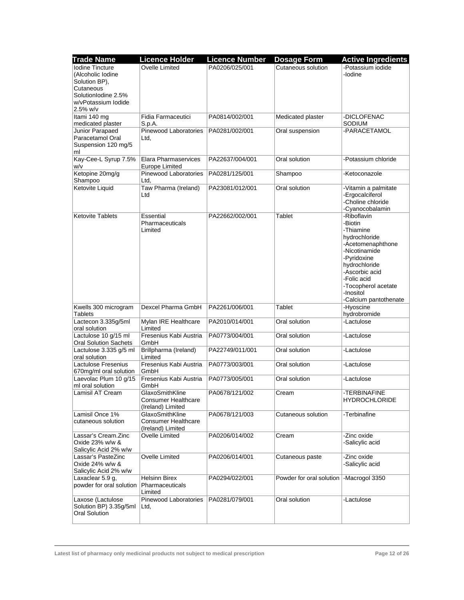| <b>Trade Name</b>                                                   | <b>Licence Holder</b>                                              | <b>Licence Number</b> | <b>Dosage Form</b>       | <b>Active Ingredients</b>                                                                                                                                                                                                |
|---------------------------------------------------------------------|--------------------------------------------------------------------|-----------------------|--------------------------|--------------------------------------------------------------------------------------------------------------------------------------------------------------------------------------------------------------------------|
| Iodine Tincture<br>(Alcoholic Iodine<br>Solution BP),               | Ovelle Limited                                                     | PA0206/025/001        | Cutaneous solution       | -Potassium iodide<br>-lodine                                                                                                                                                                                             |
| Cutaneous<br>SolutionIodine 2.5%<br>w/vPotassium lodide<br>2.5% w/v |                                                                    |                       |                          |                                                                                                                                                                                                                          |
| Itami 140 mg<br>medicated plaster                                   | Fidia Farmaceutici<br>S.p.A.                                       | PA0814/002/001        | Medicated plaster        | -DICLOFENAC<br><b>SODIUM</b>                                                                                                                                                                                             |
| Junior Parapaed<br>Paracetamol Oral<br>Suspension 120 mg/5<br>ml    | Pinewood Laboratories<br>Ltd,                                      | PA0281/002/001        | Oral suspension          | -PARACETAMOL                                                                                                                                                                                                             |
| Kay-Cee-L Syrup 7.5%<br>w/v                                         | Elara Pharmaservices<br><b>Europe Limited</b>                      | PA22637/004/001       | Oral solution            | -Potassium chloride                                                                                                                                                                                                      |
| Ketopine 20mg/g<br>Shampoo                                          | <b>Pinewood Laboratories</b><br>Ltd.                               | PA0281/125/001        | Shampoo                  | -Ketoconazole                                                                                                                                                                                                            |
| Ketovite Liquid                                                     | Taw Pharma (Ireland)<br>Ltd                                        | PA23081/012/001       | Oral solution            | -Vitamin a palmitate<br>-Ergocalciferol<br>-Choline chloride<br>-Cyanocobalamin                                                                                                                                          |
| <b>Ketovite Tablets</b>                                             | Essential<br>Pharmaceuticals<br>Limited                            | PA22662/002/001       | Tablet                   | -Riboflavin<br>-Biotin<br>-Thiamine<br>hydrochloride<br>-Acetomenaphthone<br>-Nicotinamide<br>-Pyridoxine<br>hydrochloride<br>-Ascorbic acid<br>-Folic acid<br>-Tocopherol acetate<br>-Inositol<br>-Calcium pantothenate |
| Kwells 300 microgram<br>Tablets                                     | Dexcel Pharma GmbH                                                 | PA2261/006/001        | Tablet                   | -Hyoscine<br>hydrobromide                                                                                                                                                                                                |
| Lactecon 3.335g/5ml<br>oral solution                                | Mylan IRE Healthcare<br>Limited                                    | PA2010/014/001        | Oral solution            | -Lactulose                                                                                                                                                                                                               |
| Lactulose 10 g/15 ml<br><b>Oral Solution Sachets</b>                | Fresenius Kabi Austria<br>GmbH                                     | PA0773/004/001        | Oral solution            | -Lactulose                                                                                                                                                                                                               |
| Lactulose 3.335 g/5 ml<br>oral solution                             | Brillpharma (Ireland)<br>Limited                                   | PA22749/011/001       | Oral solution            | -Lactulose                                                                                                                                                                                                               |
| Lactulose Fresenius<br>670mg/ml oral solution                       | Fresenius Kabi Austria<br>GmbH                                     | PA0773/003/001        | Oral solution            | -Lactulose                                                                                                                                                                                                               |
| Laevolac Plum 10 g/15<br>ml oral solution                           | Fresenius Kabi Austria<br>GmbH                                     | PA0773/005/001        | Oral solution            | -Lactulose                                                                                                                                                                                                               |
| Lamisil AT Cream                                                    | GlaxoSmithKline<br><b>Consumer Healthcare</b><br>(Ireland) Limited | PA0678/121/002        | Cream                    | -TERBINAFINE<br><b>HYDROCHLORIDE</b>                                                                                                                                                                                     |
| Lamisil Once 1%<br>cutaneous solution                               | GlaxoSmithKline<br><b>Consumer Healthcare</b><br>(Ireland) Limited | PA0678/121/003        | Cutaneous solution       | -Terbinafine                                                                                                                                                                                                             |
| Lassar's Cream.Zinc<br>Oxide 23% w/w &<br>Salicylic Acid 2% w/w     | Ovelle Limited                                                     | PA0206/014/002        | Cream                    | -Zinc oxide<br>-Salicylic acid                                                                                                                                                                                           |
| Lassar's PasteZinc<br>Oxide 24% w/w &<br>Salicylic Acid 2% w/w      | Ovelle Limited                                                     | PA0206/014/001        | Cutaneous paste          | -Zinc oxide<br>-Salicylic acid                                                                                                                                                                                           |
| Laxaclear 5.9 g,<br>powder for oral solution                        | <b>Helsinn Birex</b><br>Pharmaceuticals<br>Limited                 | PA0294/022/001        | Powder for oral solution | -Macrogol 3350                                                                                                                                                                                                           |
| Laxose (Lactulose<br>Solution BP) 3.35g/5ml<br>Oral Solution        | Pinewood Laboratories<br>Ltd,                                      | PA0281/079/001        | Oral solution            | -Lactulose                                                                                                                                                                                                               |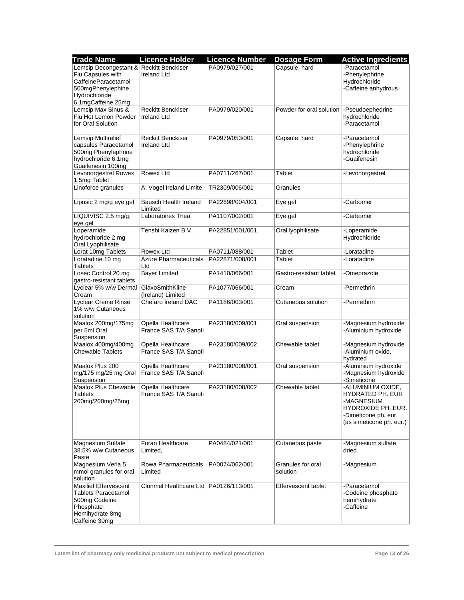| <b>Trade Name</b>                                                                                                                               | <b>Licence Holder</b>                          | <b>Licence Number</b> | <b>Dosage Form</b>            | <b>Active Ingredients</b>                                                                                                     |
|-------------------------------------------------------------------------------------------------------------------------------------------------|------------------------------------------------|-----------------------|-------------------------------|-------------------------------------------------------------------------------------------------------------------------------|
| Lemsip Decongestant & Reckitt Benckiser<br>Flu Capsules with<br>CaffeineParacetamol<br>500mgPhenylephine<br>Hydrochloride<br>6.1mgCaffeine 25mg | <b>Ireland Ltd</b>                             | PA0979/027/001        | Capsule, hard                 | -Paracetamol<br>-Phenylephrine<br>Hydrochloride<br>-Caffeine anhydrous                                                        |
| Lemsip Max Sinus &<br>Flu Hot Lemon Powder<br>for Oral Solution                                                                                 | <b>Reckitt Benckiser</b><br><b>Ireland Ltd</b> | PA0979/020/001        | Powder for oral solution      | -Pseudoephedrine<br>hydrochloride<br>-Paracetamol                                                                             |
| Lemsip Multirelief<br>capsules Paracetamol<br>500mg Phenylephrine<br>hydrochloride 6.1mg<br>Guaifenesin 100mg                                   | <b>Reckitt Benckiser</b><br><b>Ireland Ltd</b> | PA0979/053/001        | Capsule, hard                 | -Paracetamol<br>-Phenylephrine<br>hydrochloride<br>-Guaifenesin                                                               |
| Levonorgestrel Rowex<br>1.5mg Tablet                                                                                                            | Rowex Ltd                                      | PA0711/267/001        | Tablet                        | -Levonorgestrel                                                                                                               |
| Linoforce granules                                                                                                                              | A. Vogel Ireland Limite                        | TR2309/006/001        | Granules                      |                                                                                                                               |
| Liposic 2 mg/g eye gel                                                                                                                          | Bausch Health Ireland<br>Limited               | PA22698/004/001       | Eye gel                       | -Carbomer                                                                                                                     |
| LIQUIVISC 2.5 mg/g,<br>eye gel                                                                                                                  | Laboratoires Thea                              | PA1107/002/001        | Eye gel                       | -Carbomer                                                                                                                     |
| Loperamide<br>hydrochloride 2 mg<br>Oral Lyophilisate                                                                                           | Tenshi Kaizen B.V.                             | PA22851/001/001       | Oral lyophilisate             | -Loperamide<br>Hydrochloride                                                                                                  |
| Lorat 10mg Tablets                                                                                                                              | Rowex Ltd                                      | PA0711/088/001        | Tablet                        | -Loratadine                                                                                                                   |
| Loratadine 10 mg<br><b>Tablets</b>                                                                                                              | <b>Azure Pharmaceuticals</b><br>Ltd            | PA22871/008/001       | Tablet                        | -Loratadine                                                                                                                   |
| Losec Control 20 mg<br>gastro-resistant tablets                                                                                                 | <b>Bayer Limited</b>                           | PA1410/066/001        | Gastro-resistant tablet       | -Omeprazole                                                                                                                   |
| Lyclear 5% w/w Dermal<br>Cream                                                                                                                  | GlaxoSmithKline<br>(Ireland) Limited           | PA1077/066/001        | Cream                         | -Permethrin                                                                                                                   |
| <b>Lyclear Creme Rinse</b><br>1% w/w Cutaneous<br>solution                                                                                      | Chefaro Ireland DAC                            | PA1186/003/001        | Cutaneous solution            | -Permethrin                                                                                                                   |
| Maalox 200mg/175mg<br>per 5ml Oral<br>Suspension                                                                                                | Opella Healthcare<br>France SAS T/A Sanofi     | PA23180/009/001       | Oral suspension               | -Magnesium hydroxide<br>-Aluminium hydroxide                                                                                  |
| Maalox 400mg/400mg<br><b>Chewable Tablets</b>                                                                                                   | Opella Healthcare<br>France SAS T/A Sanofi     | PA23180/009/002       | Chewable tablet               | -Magnesium hydroxide<br>-Aluminium oxide,<br>hydrated                                                                         |
| Maalox Plus 200<br>mg/175 mg/25 mg Oral<br>Suspension                                                                                           | Opella Healthcare<br>France SAS T/A Sanofi     | PA23180/008/001       | Oral suspension               | -Aluminium hydroxide<br>-Magnesium hydroxide<br>-Simeticone                                                                   |
| Maalox Plus Chewable<br>Tablets<br>200mg/200mg/25mg                                                                                             | Opella Healthcare<br>France SAS T/A Sanofi     | PA23180/008/002       | Chewable tablet               | -ALUMINIUM OXIDE,<br>HYDRATED PH. EUR<br>-MAGNESIUM<br>HYDROXIDE PH. EUR.<br>-Dimeticone ph. eur.<br>(as simeticone ph. eur.) |
| Magnesium Sulfate<br>38.5% w/w Cutaneous<br>Paste                                                                                               | Foran Healthcare<br>Limited,                   | PA0484/021/001        | Cutaneous paste               | -Magnesium sulfate<br>dried                                                                                                   |
| Magnesium Verla 5<br>mmol granules for oral<br>solution                                                                                         | Rowa Pharmaceuticals<br>Limited                | PA0074/062/001        | Granules for oral<br>solution | -Magnesium                                                                                                                    |
| <b>Maxilief Effervescent</b><br><b>Tablets Paracetamol</b><br>500mg Codeine<br>Phosphate<br>Hemihydrate 8mg<br>Caffeine 30mg                    | Clonmel Healthcare Ltd   PA0126/113/001        |                       | Effervescent tablet           | -Paracetamol<br>-Codeine phosphate<br>hemihydrate<br>-Caffeine                                                                |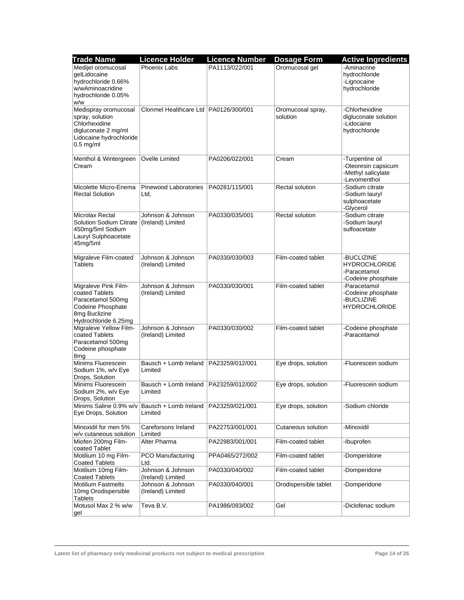| <b>Trade Name</b>                                                                                                         | <b>Licence Holder</b>                   | <b>Licence Number</b> | <b>Dosage Form</b>            | <b>Active Ingredients</b>                                                    |
|---------------------------------------------------------------------------------------------------------------------------|-----------------------------------------|-----------------------|-------------------------------|------------------------------------------------------------------------------|
| Medijel oromucosal<br>gelLidocaine<br>hydrochloride 0.66%<br>w/wAminoacridine<br>hydrochloride 0.05%<br>w/w               | Phoenix Labs                            | PA1113/022/001        | Oromucosal gel                | -Aminacrine<br>hydrochloride<br>-Lignocaine<br>hydrochloride                 |
| Medispray oromucosal<br>spray, solution<br>Chlorhexidine<br>digluconate 2 mg/ml<br>Lidocaine hydrochloride<br>$0.5$ mg/ml | Clonmel Healthcare Ltd   PA0126/300/001 |                       | Oromucosal spray,<br>solution | -Chlorhexidine<br>digluconate solution<br>-Lidocaine<br>hydrochloride        |
| Menthol & Wintergreen<br>Cream                                                                                            | Ovelle Limited                          | PA0206/022/001        | Cream                         | -Turpentine oil<br>-Oleoresin capsicum<br>-Methyl salicylate<br>-Levomenthol |
| Micolette Micro-Enema<br><b>Rectal Solution</b>                                                                           | Pinewood Laboratories<br>Ltd,           | PA0281/115/001        | Rectal solution               | -Sodium citrate<br>-Sodium lauryl<br>sulphoacetate<br>-Glycerol              |
| Microlax Rectal<br>Solution Sodium Citrate<br>450mg/5ml Sodium<br>Lauryl Sulphoacetate<br>45mg/5ml                        | Johnson & Johnson<br>(Ireland) Limited  | PA0330/035/001        | Rectal solution               | -Sodium citrate<br>-Sodium lauryl<br>sulfoacetate                            |
| Migraleve Film-coated<br><b>Tablets</b>                                                                                   | Johnson & Johnson<br>(Ireland) Limited  | PA0330/030/003        | Film-coated tablet            | -BUCLIZINE<br><b>HYDROCHLORIDE</b><br>-Paracetamol<br>-Codeine phosphate     |
| Migraleve Pink Film-<br>coated Tablets<br>Paracetamol 500mg<br>Codeine Phosphate<br>8mg Buclizine<br>Hydrochloride 6.25mg | Johnson & Johnson<br>(Ireland) Limited  | PA0330/030/001        | Film-coated tablet            | -Paracetamol<br>-Codeine phosphate<br>-BUCLIZINE<br><b>HYDROCHLORIDE</b>     |
| Migraleve Yellow Film-<br>coated Tablets<br>Paracetamol 500mg<br>Codeine phosphate<br>8mg                                 | Johnson & Johnson<br>(Ireland) Limited  | PA0330/030/002        | Film-coated tablet            | -Codeine phosphate<br>-Paracetamol                                           |
| Minims Fluorescein<br>Sodium 1%, w/v Eye<br>Drops, Solution                                                               | Bausch + Lomb Ireland<br>Limited        | PA23259/012/001       | Eye drops, solution           | -Fluorescein sodium                                                          |
| Minims Fluorescein<br>Sodium 2%, w/v Eye<br>Drops, Solution                                                               | Bausch + Lomb Ireland<br>Limited        | PA23259/012/002       | Eye drops, solution           | -Fluorescein sodium                                                          |
| Minims Saline 0.9% w/v<br>Eye Drops, Solution                                                                             | Bausch + Lomb Ireland<br>Limited        | PA23259/021/001       | Eye drops, solution           | -Sodium chloride                                                             |
| Minoxidil for men 5%<br>w/v cutaneous solution                                                                            | Careforsons Ireland<br>Limited          | PA22753/001/001       | Cutaneous solution            | -Minoxidil                                                                   |
| Miofen 200mg Film-<br>coated Tablet                                                                                       | Alter Pharma                            | PA22983/001/001       | Film-coated tablet            | -Ibuprofen                                                                   |
| Motilium 10 mg Film-<br><b>Coated Tablets</b>                                                                             | PCO Manufacturing<br>Ltd.               | PPA0465/272/002       | Film-coated tablet            | -Domperidone                                                                 |
| Motilium 10mg Film-<br><b>Coated Tablets</b>                                                                              | Johnson & Johnson<br>(Ireland) Limited  | PA0330/040/002        | Film-coated tablet            | -Domperidone                                                                 |
| <b>Motilium Fastmelts</b><br>10mg Orodispersible<br><b>Tablets</b>                                                        | Johnson & Johnson<br>(Ireland) Limited  | PA0330/040/001        | Orodispersible tablet         | -Domperidone                                                                 |
| Motusol Max 2 % w/w<br>gel                                                                                                | Teva B.V.                               | PA1986/093/002        | Gel                           | -Diclofenac sodium                                                           |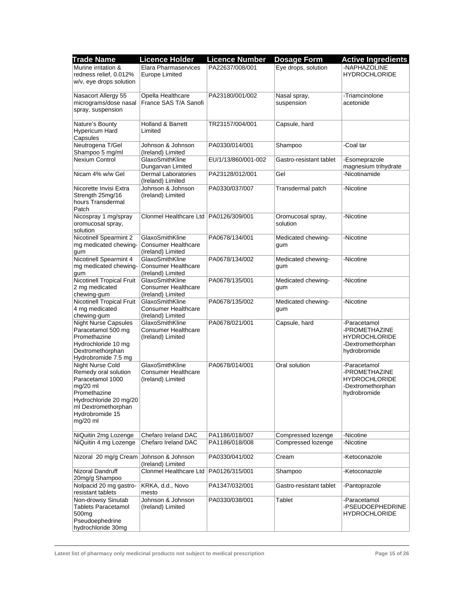| <b>Trade Name</b>                  | <b>Licence Holder</b>                           | <b>Licence Number</b> | <b>Dosage Form</b>      | <b>Active Ingredients</b>             |
|------------------------------------|-------------------------------------------------|-----------------------|-------------------------|---------------------------------------|
| Murine irritation &                | Elara Pharmaservices                            | PA22637/008/001       | Eye drops, solution     | -NAPHAZOLINE                          |
| redness relief, 0.012%             | Europe Limited                                  |                       |                         | <b>HYDROCHLORIDE</b>                  |
| w/v, eye drops solution            |                                                 |                       |                         |                                       |
|                                    |                                                 |                       |                         |                                       |
| Nasacort Allergy 55                | Opella Healthcare                               | PA23180/001/002       | Nasal spray,            | -Triamcinolone                        |
| micrograms/dose nasal              | France SAS T/A Sanofi                           |                       | suspension              | acetonide                             |
| spray, suspension                  |                                                 |                       |                         |                                       |
| Nature's Bounty                    | Holland & Barrett                               | TR23157/004/001       | Capsule, hard           |                                       |
| Hypericum Hard                     | Limited                                         |                       |                         |                                       |
| Capsules                           |                                                 |                       |                         |                                       |
| Neutrogena T/Gel                   | Johnson & Johnson                               | PA0330/014/001        | Shampoo                 | -Coal tar                             |
| Shampoo 5 mg/ml                    | (Ireland) Limited                               |                       |                         |                                       |
| <b>Nexium Control</b>              | GlaxoSmithKline                                 | EU/1/13/860/001-002   | Gastro-resistant tablet | -Esomeprazole                         |
|                                    | Dungarvan Limited                               |                       |                         | magnesium trihydrate                  |
| Nicam 4% w/w Gel                   | Dermal Laboratories                             | PA23128/012/001       | Gel                     | -Nicotinamide                         |
|                                    | (Ireland) Limited                               |                       |                         |                                       |
| Nicorette Invisi Extra             | Johnson & Johnson                               | PA0330/037/007        | Transdermal patch       | -Nicotine                             |
| Strength 25mg/16                   | (Ireland) Limited                               |                       |                         |                                       |
| hours Transdermal                  |                                                 |                       |                         |                                       |
| Patch                              |                                                 |                       |                         |                                       |
| Nicospray 1 mg/spray               | Clonmel Healthcare Ltd PA0126/309/001           |                       | Oromucosal spray,       | -Nicotine                             |
| oromucosal spray,<br>solution      |                                                 |                       | solution                |                                       |
| Nicotinell Spearmint 2             | GlaxoSmithKline                                 | PA0678/134/001        | Medicated chewing-      | -Nicotine                             |
| mg medicated chewing-              | <b>Consumer Healthcare</b>                      |                       | gum                     |                                       |
| gum                                | (Ireland) Limited                               |                       |                         |                                       |
| Nicotinell Spearmint 4             | GlaxoSmithKline                                 | PA0678/134/002        | Medicated chewing-      | -Nicotine                             |
| mg medicated chewing-              | <b>Consumer Healthcare</b>                      |                       | gum                     |                                       |
| gum                                | (Ireland) Limited                               |                       |                         |                                       |
| Nicotinell Tropical Fruit          | GlaxoSmithKline                                 | PA0678/135/001        | Medicated chewing-      | -Nicotine                             |
| 2 mg medicated                     | <b>Consumer Healthcare</b>                      |                       | gum                     |                                       |
| chewing-gum                        | (Ireland) Limited                               |                       |                         |                                       |
| Nicotinell Tropical Fruit          | GlaxoSmithKline                                 | PA0678/135/002        | Medicated chewing-      | -Nicotine                             |
| 4 mg medicated                     | <b>Consumer Healthcare</b>                      |                       | gum                     |                                       |
| chewing-gum                        | (Ireland) Limited                               |                       |                         |                                       |
| <b>Night Nurse Capsules</b>        | GlaxoSmithKline                                 | PA0678/021/001        | Capsule, hard           | -Paracetamol                          |
| Paracetamol 500 mg<br>Promethazine | <b>Consumer Healthcare</b><br>(Ireland) Limited |                       |                         | -PROMETHAZINE<br><b>HYDROCHLORIDE</b> |
| Hydrochloride 10 mg                |                                                 |                       |                         | -Dextromethorphan                     |
| Dextromethorphan                   |                                                 |                       |                         | hydrobromide                          |
| Hydrobromide 7.5 mg                |                                                 |                       |                         |                                       |
| Night Nurse Cold                   | GlaxoSmithKline                                 | PA0678/014/001        | Oral solution           | -Paracetamol                          |
| Remedy oral solution               | <b>Consumer Healthcare</b>                      |                       |                         | -PROMETHAZINE                         |
| Paracetamol 1000                   | (Ireland) Limited                               |                       |                         | <b>HYDROCHLORIDE</b>                  |
| $mg/20$ ml                         |                                                 |                       |                         | -Dextromethorphan                     |
| Promethazine                       |                                                 |                       |                         | hydrobromide                          |
| Hydrochloride 20 mg/20             |                                                 |                       |                         |                                       |
| ml Dextromethorphan                |                                                 |                       |                         |                                       |
| Hydrobromide 15                    |                                                 |                       |                         |                                       |
| $mg/20$ ml                         |                                                 |                       |                         |                                       |
| NiQuitin 2mg Lozenge               | Chefaro Ireland DAC                             | PA1186/018/007        | Compressed lozenge      | -Nicotine                             |
| NiQuitin 4 mg Lozenge              | Chefaro Ireland DAC                             | PA1186/018/008        | Compressed lozenge      | -Nicotine                             |
|                                    |                                                 |                       |                         |                                       |
| Nizoral 20 mg/g Cream              | Johnson & Johnson                               | PA0330/041/002        | Cream                   | -Ketoconazole                         |
|                                    | (Ireland) Limited                               |                       |                         |                                       |
| Nizoral Dandruff                   | Clonmel Healthcare Ltd   PA0126/315/001         |                       | Shampoo                 | -Ketoconazole                         |
| 20mg/g Shampoo                     |                                                 |                       |                         |                                       |
| Nolpacid 20 mg gastro-             | KRKA, d.d., Novo                                | PA1347/032/001        | Gastro-resistant tablet | -Pantoprazole                         |
| resistant tablets                  | mesto                                           |                       |                         |                                       |
| Non-drowsy Sinutab                 | Johnson & Johnson                               | PA0330/038/001        | Tablet                  | -Paracetamol                          |
| <b>Tablets Paracetamol</b>         | (Ireland) Limited                               |                       |                         | -PSEUDOEPHEDRINE                      |
| 500 <sub>mg</sub>                  |                                                 |                       |                         | <b>HYDROCHLORIDE</b>                  |
| Pseudoephedrine                    |                                                 |                       |                         |                                       |
| hydrochloride 30mg                 |                                                 |                       |                         |                                       |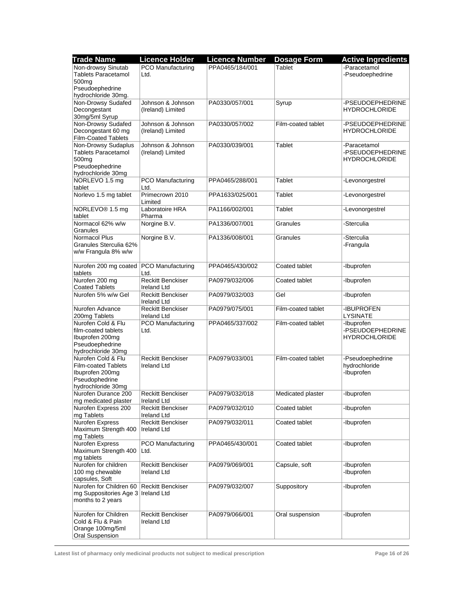| Trade Name                                                                                                      | <b>Licence Holder</b>                          | <b>Licence Number</b> | <b>Dosage Form</b> | <b>Active Ingredients</b>                                |
|-----------------------------------------------------------------------------------------------------------------|------------------------------------------------|-----------------------|--------------------|----------------------------------------------------------|
| Non-drowsy Sinutab<br><b>Tablets Paracetamol</b>                                                                | PCO Manufacturing<br>Ltd.                      | PPA0465/184/001       | Tablet             | -Paracetamol<br>-Pseudoephedrine                         |
| 500 <sub>mq</sub><br>Pseudoephedrine<br>hydrochloride 30mg.                                                     |                                                |                       |                    |                                                          |
| Non-Drowsy Sudafed                                                                                              | Johnson & Johnson                              | PA0330/057/001        | Syrup              | -PSEUDOEPHEDRINE                                         |
| Decongestant<br>30mg/5ml Syrup                                                                                  | (Ireland) Limited                              |                       |                    | <b>HYDROCHLORIDE</b>                                     |
| Non-Drowsy Sudafed                                                                                              | Johnson & Johnson                              | PA0330/057/002        | Film-coated tablet | -PSEUDOEPHEDRINE                                         |
| Decongestant 60 mg<br><b>Film-Coated Tablets</b>                                                                | (Ireland) Limited                              |                       |                    | <b>HYDROCHLORIDE</b>                                     |
| Non-Drowsy Sudaplus<br><b>Tablets Paracetamol</b><br>500 <sub>ma</sub><br>Pseudoephedrine<br>hydrochloride 30mg | Johnson & Johnson<br>(Ireland) Limited         | PA0330/039/001        | Tablet             | -Paracetamol<br>-PSEUDOEPHEDRINE<br><b>HYDROCHLORIDE</b> |
| NORLEVO 1.5 mg<br>tablet                                                                                        | PCO Manufacturing<br>Ltd.                      | PPA0465/288/001       | Tablet             | -Levonorgestrel                                          |
| Norlevo 1.5 mg tablet                                                                                           | Primecrown 2010<br>Limited                     | PPA1633/025/001       | Tablet             | -Levonorgestrel                                          |
| NORLEVO® 1.5 mg<br>tablet                                                                                       | Laboratoire HRA<br>Pharma                      | PA1166/002/001        | Tablet             | -Levonorgestrel                                          |
| Normacol 62% w/w<br>Granules                                                                                    | Norgine B.V.                                   | PA1336/007/001        | Granules           | -Sterculia                                               |
| Normacol Plus<br>Granules Sterculia 62%<br>w/w Frangula 8% w/w                                                  | Norgine B.V.                                   | PA1336/008/001        | Granules           | -Sterculia<br>-Frangula                                  |
| Nurofen 200 mg coated<br>tablets                                                                                | <b>PCO Manufacturing</b><br>Ltd.               | PPA0465/430/002       | Coated tablet      | -Ibuprofen                                               |
| Nurofen 200 mg<br><b>Coated Tablets</b>                                                                         | <b>Reckitt Benckiser</b><br><b>Ireland Ltd</b> | PA0979/032/006        | Coated tablet      | -Ibuprofen                                               |
| Nurofen 5% w/w Gel                                                                                              | <b>Reckitt Benckiser</b><br><b>Ireland Ltd</b> | PA0979/032/003        | Gel                | -Ibuprofen                                               |
| Nurofen Advance<br>200mg Tablets                                                                                | <b>Reckitt Benckiser</b><br><b>Ireland Ltd</b> | PA0979/075/001        | Film-coated tablet | -IBUPROFEN<br><b>LYSINATE</b>                            |
| Nurofen Cold & Flu<br>film-coated tablets<br>Ibuprofen 200mg<br>Pseudoephedrine<br>hydrochloride 30mg           | <b>PCO Manufacturing</b><br>Ltd.               | PPA0465/337/002       | Film-coated tablet | -Ibuprofen<br>-PSEUDOEPHEDRINE<br><b>HYDROCHLORIDE</b>   |
| Nurofen Cold & Flu<br><b>Film-coated Tablets</b><br>Ibuprofen 200mg<br>Pseudophedrine<br>hydrochloride 30mg     | <b>Reckitt Benckiser</b><br><b>Ireland Ltd</b> | PA0979/033/001        | Film-coated tablet | -Pseudoephedrine<br>hydrochloride<br>-Ibuprofen          |
| Nurofen Durance 200<br>mg medicated plaster                                                                     | <b>Reckitt Benckiser</b><br><b>Ireland Ltd</b> | PA0979/032/018        | Medicated plaster  | -Ibuprofen                                               |
| Nurofen Express 200<br>mg Tablets                                                                               | <b>Reckitt Benckiser</b><br><b>Ireland Ltd</b> | PA0979/032/010        | Coated tablet      | -Ibuprofen                                               |
| Nurofen Express<br>Maximum Strength 400<br>mg Tablets                                                           | <b>Reckitt Benckiser</b><br><b>Ireland Ltd</b> | PA0979/032/011        | Coated tablet      | -Ibuprofen                                               |
| Nurofen Express<br>Maximum Strength 400<br>mg tablets                                                           | PCO Manufacturing<br>Ltd.                      | PPA0465/430/001       | Coated tablet      | -Ibuprofen                                               |
| Nurofen for children<br>100 mg chewable<br>capsules, Soft                                                       | <b>Reckitt Benckiser</b><br><b>Ireland Ltd</b> | PA0979/069/001        | Capsule, soft      | -Ibuprofen<br>-Ibuprofen                                 |
| Nurofen for Children 60<br>mg Suppositories Age 3<br>months to 2 years                                          | <b>Reckitt Benckiser</b><br><b>Ireland Ltd</b> | PA0979/032/007        | Suppository        | -Ibuprofen                                               |
| Nurofen for Children<br>Cold & Flu & Pain<br>Orange 100mg/5ml<br>Oral Suspension                                | <b>Reckitt Benckiser</b><br><b>Ireland Ltd</b> | PA0979/066/001        | Oral suspension    | -Ibuprofen                                               |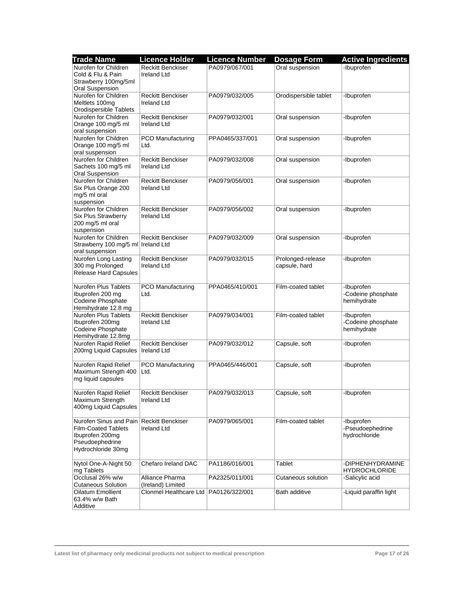| <b>Trade Name</b>                   | <b>Licence Holder</b>                   | <b>Licence Number</b> | <b>Dosage Form</b>    | <b>Active Ingredients</b> |
|-------------------------------------|-----------------------------------------|-----------------------|-----------------------|---------------------------|
| Nurofen for Children                | <b>Reckitt Benckiser</b>                | PA0979/067/001        | Oral suspension       | -Ibuprofen                |
| Cold & Flu & Pain                   | <b>Ireland Ltd</b>                      |                       |                       |                           |
| Strawberry 100mg/5ml                |                                         |                       |                       |                           |
| <b>Oral Suspension</b>              |                                         |                       |                       |                           |
| Nurofen for Children                | <b>Reckitt Benckiser</b>                | PA0979/032/005        | Orodispersible tablet | -Ibuprofen                |
| Meltlets 100mg                      | <b>Ireland Ltd</b>                      |                       |                       |                           |
| Orodispersible Tablets              |                                         |                       |                       |                           |
| Nurofen for Children                | <b>Reckitt Benckiser</b>                | PA0979/032/001        | Oral suspension       | -Ibuprofen                |
| Orange 100 mg/5 ml                  | <b>Ireland Ltd</b>                      |                       |                       |                           |
| oral suspension                     |                                         |                       |                       |                           |
| Nurofen for Children                | PCO Manufacturing                       | PPA0465/337/001       | Oral suspension       | -Ibuprofen                |
| Orange 100 mg/5 ml                  | Ltd.                                    |                       |                       |                           |
| oral suspension                     |                                         |                       |                       |                           |
| Nurofen for Children                | <b>Reckitt Benckiser</b>                | PA0979/032/008        | Oral suspension       | -Ibuprofen                |
| Sachets 100 mg/5 ml                 | <b>Ireland Ltd</b>                      |                       |                       |                           |
| <b>Oral Suspension</b>              |                                         |                       |                       |                           |
| Nurofen for Children                | <b>Reckitt Benckiser</b>                | PA0979/056/001        | Oral suspension       | -Ibuprofen                |
| Six Plus Orange 200                 | <b>Ireland Ltd</b>                      |                       |                       |                           |
| mg/5 ml oral                        |                                         |                       |                       |                           |
| suspension                          |                                         |                       |                       |                           |
| Nurofen for Children                | <b>Reckitt Benckiser</b>                | PA0979/056/002        | Oral suspension       | -Ibuprofen                |
| Six Plus Strawberry                 | <b>Ireland Ltd</b>                      |                       |                       |                           |
| 200 mg/5 ml oral                    |                                         |                       |                       |                           |
| suspension<br>Nurofen for Children  | <b>Reckitt Benckiser</b>                | PA0979/032/009        |                       | -Ibuprofen                |
| Strawberry 100 mg/5 ml Ireland Ltd  |                                         |                       | Oral suspension       |                           |
| oral suspension                     |                                         |                       |                       |                           |
| Nurofen Long Lasting                | <b>Reckitt Benckiser</b>                | PA0979/032/015        | Prolonged-release     | -Ibuprofen                |
| 300 mg Prolonged                    | <b>Ireland Ltd</b>                      |                       | capsule, hard         |                           |
| Release Hard Capsules               |                                         |                       |                       |                           |
|                                     |                                         |                       |                       |                           |
| Nurofen Plus Tablets                | <b>PCO Manufacturing</b>                | PPA0465/410/001       | Film-coated tablet    | -Ibuprofen                |
| Ibuprofen 200 mg                    | Ltd.                                    |                       |                       | -Codeine phosphate        |
| <b>Codeine Phosphate</b>            |                                         |                       |                       | hemihydrate               |
| Hemihydrate 12.8 mg                 |                                         |                       |                       |                           |
| Nurofen Plus Tablets                | <b>Reckitt Benckiser</b>                | PA0979/034/001        | Film-coated tablet    | -Ibuprofen                |
| Ibuprofen 200mg                     | <b>Ireland Ltd</b>                      |                       |                       | -Codeine phosphate        |
| Codeine Phosphate                   |                                         |                       |                       | hemihydrate               |
| Hemihydrate 12.8mg                  |                                         |                       |                       |                           |
| Nurofen Rapid Relief                | <b>Reckitt Benckiser</b>                | PA0979/032/012        | Capsule, soft         | -Ibuprofen                |
| 200mg Liquid Capsules   Ireland Ltd |                                         |                       |                       |                           |
|                                     |                                         |                       |                       |                           |
| Nurofen Rapid Relief                | PCO Manufacturing                       | PPA0465/446/001       | Capsule, soft         | -Ibuprofen                |
| Maximum Strength 400                | Ltd.                                    |                       |                       |                           |
| mg liquid capsules                  |                                         |                       |                       |                           |
| Nurofen Rapid Relief                | <b>Reckitt Benckiser</b>                | PA0979/032/013        | Capsule, soft         | -Ibuprofen                |
| Maximum Strength                    | <b>Ireland Ltd</b>                      |                       |                       |                           |
| 400mg Liquid Capsules               |                                         |                       |                       |                           |
|                                     |                                         |                       |                       |                           |
| Nurofen Sinus and Pain              | <b>Reckitt Benckiser</b>                | PA0979/065/001        | Film-coated tablet    | -Ibuprofen                |
| <b>Film-Coated Tablets</b>          | <b>Ireland Ltd</b>                      |                       |                       | -Pseudoephedrine          |
| Ibuprofen 200mg                     |                                         |                       |                       | hydrochloride             |
| Pseudoephedrine                     |                                         |                       |                       |                           |
| Hydrochloride 30mg                  |                                         |                       |                       |                           |
|                                     |                                         |                       |                       |                           |
| Nytol One-A-Night 50                | Chefaro Ireland DAC                     | PA1186/016/001        | Tablet                | -DIPHENHYDRAMINE          |
| mg Tablets                          |                                         |                       |                       | <b>HYDROCHLORIDE</b>      |
| Occlusal 26% w/w                    | Alliance Pharma                         | PA2325/011/001        | Cutaneous solution    | -Salicylic acid           |
| <b>Cutaneous Solution</b>           | (Ireland) Limited                       |                       |                       |                           |
| Oilatum Emollient                   | Clonmel Healthcare Ltd   PA0126/322/001 |                       | Bath additive         | -Liquid paraffin light    |
| 63.4% w/w Bath                      |                                         |                       |                       |                           |
| Additive                            |                                         |                       |                       |                           |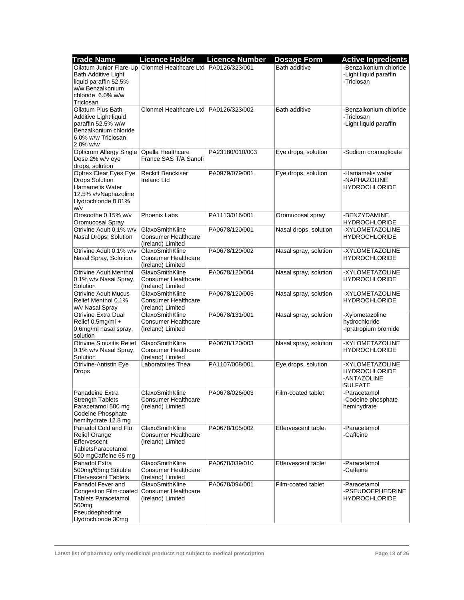| <b>Trade Name</b>                                               | <b>Licence Holder</b>                                           | <b>Licence Number</b> | <b>Dosage Form</b>    | <b>Active Ingredients</b>                        |
|-----------------------------------------------------------------|-----------------------------------------------------------------|-----------------------|-----------------------|--------------------------------------------------|
| <b>Bath Additive Light</b>                                      | Oilatum Junior Flare-Up Clonmel Healthcare Ltd   PA0126/323/001 |                       | Bath additive         | -Benzalkonium chloride<br>-Light liquid paraffin |
| liquid paraffin 52.5%                                           |                                                                 |                       |                       | -Triclosan                                       |
| w/w Benzalkonium                                                |                                                                 |                       |                       |                                                  |
| chloride 6.0% w/w                                               |                                                                 |                       |                       |                                                  |
| Triclosan<br>Oilatum Plus Bath                                  | Clonmel Healthcare Ltd   PA0126/323/002                         |                       | Bath additive         | -Benzalkonium chloride                           |
| Additive Light liquid                                           |                                                                 |                       |                       | -Triclosan                                       |
| paraffin 52.5% w/w                                              |                                                                 |                       |                       | -Light liquid paraffin                           |
| Benzalkonium chloride                                           |                                                                 |                       |                       |                                                  |
| 6.0% w/w Triclosan<br>$2.0\%$ w/w                               |                                                                 |                       |                       |                                                  |
| <b>Opticrom Allergy Single</b>                                  | Opella Healthcare                                               | PA23180/010/003       | Eye drops, solution   | -Sodium cromoglicate                             |
| Dose 2% w/v eye                                                 | France SAS T/A Sanofi                                           |                       |                       |                                                  |
| drops, solution                                                 |                                                                 |                       |                       |                                                  |
| Optrex Clear Eyes Eye                                           | <b>Reckitt Benckiser</b>                                        | PA0979/079/001        | Eye drops, solution   | -Hamamelis water                                 |
| <b>Drops Solution</b><br>Hamamelis Water                        | <b>Ireland Ltd</b>                                              |                       |                       | -NAPHAZOLINE<br><b>HYDROCHLORIDE</b>             |
| 12.5% v/vNaphazoline                                            |                                                                 |                       |                       |                                                  |
| Hydrochloride 0.01%                                             |                                                                 |                       |                       |                                                  |
| w/v                                                             |                                                                 |                       |                       |                                                  |
| Orosoothe 0.15% w/v<br>Oromucosal Spray                         | Phoenix Labs                                                    | PA1113/016/001        | Oromucosal spray      | -BENZYDAMINE<br><b>HYDROCHLORIDE</b>             |
| Otrivine Adult 0.1% w/v                                         | GlaxoSmithKline                                                 | PA0678/120/001        | Nasal drops, solution | -XYLOMETAZOLINE                                  |
| Nasal Drops, Solution                                           | <b>Consumer Healthcare</b>                                      |                       |                       | <b>HYDROCHLORIDE</b>                             |
|                                                                 | (Ireland) Limited                                               |                       |                       |                                                  |
| Otrivine Adult 0.1% w/v<br>Nasal Spray, Solution                | GlaxoSmithKline<br><b>Consumer Healthcare</b>                   | PA0678/120/002        | Nasal spray, solution | -XYLOMETAZOLINE<br><b>HYDROCHLORIDE</b>          |
|                                                                 | (Ireland) Limited                                               |                       |                       |                                                  |
| <b>Otrivine Adult Menthol</b>                                   | GlaxoSmithKline                                                 | PA0678/120/004        | Nasal spray, solution | -XYLOMETAZOLINE                                  |
| 0.1% w/v Nasal Spray,                                           | <b>Consumer Healthcare</b>                                      |                       |                       | <b>HYDROCHLORIDE</b>                             |
| Solution<br><b>Otrivine Adult Mucus</b>                         | (Ireland) Limited<br>GlaxoSmithKline                            | PA0678/120/005        | Nasal spray, solution | -XYLOMETAZOLINE                                  |
| Relief Menthol 0.1%                                             | <b>Consumer Healthcare</b>                                      |                       |                       | <b>HYDROCHLORIDE</b>                             |
| w/v Nasal Spray                                                 | (Ireland) Limited                                               |                       |                       |                                                  |
| <b>Otrivine Extra Dual</b>                                      | GlaxoSmithKline                                                 | PA0678/131/001        | Nasal spray, solution | -Xylometazoline                                  |
| Relief 0.5mg/ml +                                               | <b>Consumer Healthcare</b>                                      |                       |                       | hydrochloride                                    |
| 0.6mg/ml nasal spray,<br>solution                               | (Ireland) Limited                                               |                       |                       | -Ipratropium bromide                             |
| <b>Otrivine Sinusitis Relief</b>                                | GlaxoSmithKline                                                 | PA0678/120/003        | Nasal spray, solution | -XYLOMETAZOLINE                                  |
| 0.1% w/v Nasal Spray,                                           | <b>Consumer Healthcare</b>                                      |                       |                       | <b>HYDROCHLORIDE</b>                             |
| Solution                                                        | (Ireland) Limited                                               |                       |                       |                                                  |
| Otrivine-Antistin Eye                                           | Laboratoires Thea                                               | PA1107/008/001        | Eye drops, solution   | -XYLOMETAZOLINE<br><b>HYDROCHLORIDE</b>          |
| <b>Drops</b>                                                    |                                                                 |                       |                       | -ANTAZOLINE                                      |
|                                                                 |                                                                 |                       |                       | <b>SULFATE</b>                                   |
| Panadeine Extra                                                 | GlaxoSmithKline                                                 | PA0678/026/003        | Film-coated tablet    | -Paracetamol                                     |
| <b>Strength Tablets</b>                                         | Consumer Healthcare                                             |                       |                       | -Codeine phosphate                               |
| Paracetamol 500 mg<br>Codeine Phosphate                         | (Ireland) Limited                                               |                       |                       | hemihydrate                                      |
| hemihydrate 12.8 mg                                             |                                                                 |                       |                       |                                                  |
| Panadol Cold and Flu                                            | GlaxoSmithKline                                                 | PA0678/105/002        | Effervescent tablet   | -Paracetamol                                     |
| <b>Relief Orange</b>                                            | <b>Consumer Healthcare</b>                                      |                       |                       | -Caffeine                                        |
| Effervescent<br>TabletsParacetamol                              | (Ireland) Limited                                               |                       |                       |                                                  |
| 500 mgCaffeine 65 mg                                            |                                                                 |                       |                       |                                                  |
| Panadol Extra                                                   | GlaxoSmithKline                                                 | PA0678/039/010        | Effervescent tablet   | -Paracetamol                                     |
| 500mg/65mg Soluble                                              | <b>Consumer Healthcare</b>                                      |                       |                       | -Caffeine                                        |
| <b>Effervescent Tablets</b>                                     | (Ireland) Limited                                               |                       |                       |                                                  |
| Panadol Fever and<br>Congestion Film-coated Consumer Healthcare | GlaxoSmithKline                                                 | PA0678/094/001        | Film-coated tablet    | -Paracetamol<br>-PSEUDOEPHEDRINE                 |
| <b>Tablets Paracetamol</b>                                      | (Ireland) Limited                                               |                       |                       | <b>HYDROCHLORIDE</b>                             |
| 500 <sub>mg</sub>                                               |                                                                 |                       |                       |                                                  |
| Pseudoephedrine                                                 |                                                                 |                       |                       |                                                  |
| Hydrochloride 30mg                                              |                                                                 |                       |                       |                                                  |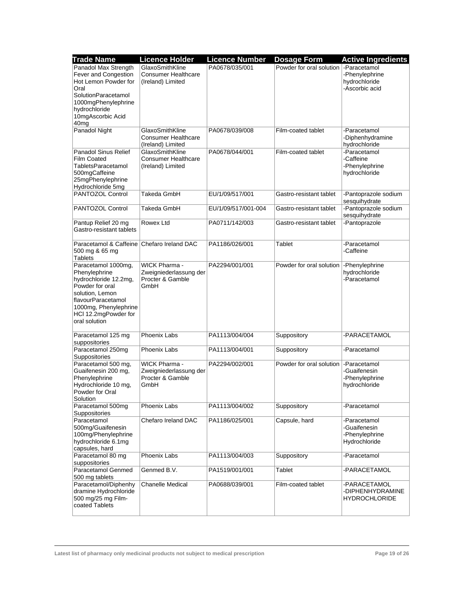| <b>Trade Name</b>                                                                                                                                                                           | <b>Licence Holder</b>                                               | <b>Licence Number</b> | <b>Dosage Form</b>                       | <b>Active Ingredients</b>                                       |
|---------------------------------------------------------------------------------------------------------------------------------------------------------------------------------------------|---------------------------------------------------------------------|-----------------------|------------------------------------------|-----------------------------------------------------------------|
| Panadol Max Strength<br>Fever and Congestion<br>Hot Lemon Powder for<br>Oral                                                                                                                | GlaxoSmithKline<br><b>Consumer Healthcare</b><br>(Ireland) Limited  | PA0678/035/001        | Powder for oral solution   - Paracetamol | -Phenylephrine<br>hydrochloride<br>-Ascorbic acid               |
| SolutionParacetamol<br>1000mgPhenylephrine<br>hydrochloride<br>10mgAscorbic Acid<br>40mg                                                                                                    |                                                                     |                       |                                          |                                                                 |
| Panadol Night                                                                                                                                                                               | GlaxoSmithKline<br><b>Consumer Healthcare</b><br>(Ireland) Limited  | PA0678/039/008        | Film-coated tablet                       | -Paracetamol<br>-Diphenhydramine<br>hydrochloride               |
| <b>Panadol Sinus Relief</b><br><b>Film Coated</b><br>TabletsParacetamol<br>500mgCaffeine<br>25mgPhenylephrine<br>Hydrochloride 5mg                                                          | GlaxoSmithKline<br><b>Consumer Healthcare</b><br>(Ireland) Limited  | PA0678/044/001        | Film-coated tablet                       | -Paracetamol<br>-Caffeine<br>-Phenylephrine<br>hydrochloride    |
| PANTOZOL Control                                                                                                                                                                            | Takeda GmbH                                                         | EU/1/09/517/001       | Gastro-resistant tablet                  | -Pantoprazole sodium<br>sesquihydrate                           |
| PANTOZOL Control                                                                                                                                                                            | Takeda GmbH                                                         | EU/1/09/517/001-004   | Gastro-resistant tablet                  | -Pantoprazole sodium<br>sesquihydrate                           |
| Pantup Relief 20 mg<br>Gastro-resistant tablets                                                                                                                                             | Rowex Ltd                                                           | PA0711/142/003        | Gastro-resistant tablet                  | -Pantoprazole                                                   |
| Paracetamol & Caffeine Chefaro Ireland DAC<br>500 mg & 65 mg<br><b>Tablets</b>                                                                                                              |                                                                     | PA1186/026/001        | Tablet                                   | -Paracetamol<br>-Caffeine                                       |
| Paracetamol 1000mg,<br>Phenylephrine<br>hydrochloride 12.2mg,<br>Powder for oral<br>solution, Lemon<br>flavourParacetamol<br>1000mg, Phenylephrine<br>HCl 12.2mgPowder for<br>oral solution | WICK Pharma -<br>Zweigniederlassung der<br>Procter & Gamble<br>GmbH | PA2294/001/001        | Powder for oral solution                 | -Phenylephrine<br>hydrochloride<br>-Paracetamol                 |
| Paracetamol 125 mg<br>suppositories                                                                                                                                                         | Phoenix Labs                                                        | PA1113/004/004        | Suppository                              | -PARACETAMOL                                                    |
| Paracetamol 250mg<br>Suppositories                                                                                                                                                          | Phoenix Labs                                                        | PA1113/004/001        | Suppository                              | -Paracetamol                                                    |
| Paracetamol 500 mg,<br>Guaifenesin 200 mg,<br>Phenylephrine<br>Hydrochloride 10 mg,<br>Powder for Oral<br>Solution                                                                          | WICK Pharma -<br>Zweigniederlassung der<br>Procter & Gamble<br>GmbH | PA2294/002/001        | Powder for oral solution                 | -Paracetamol<br>-Guaifenesin<br>-Phenylephrine<br>hydrochloride |
| Paracetamol 500mg<br>Suppositories                                                                                                                                                          | <b>Phoenix Labs</b>                                                 | PA1113/004/002        | Suppository                              | -Paracetamol                                                    |
| Paracetamol<br>500mg/Guaifenesin<br>100mg/Phenylephrine<br>hydrochloride 6.1mg<br>capsules, hard                                                                                            | Chefaro Ireland DAC                                                 | PA1186/025/001        | Capsule, hard                            | -Paracetamol<br>-Guaifenesin<br>-Phenylephrine<br>Hydrochloride |
| Paracetamol 80 mg<br>suppositories                                                                                                                                                          | Phoenix Labs                                                        | PA1113/004/003        | Suppository                              | -Paracetamol                                                    |
| Paracetamol Genmed<br>500 mg tablets                                                                                                                                                        | Genmed B.V.                                                         | PA1519/001/001        | Tablet                                   | -PARACETAMOL                                                    |
| Paracetamol/Diphenhy<br>dramine Hydrochloride<br>500 mg/25 mg Film-<br>coated Tablets                                                                                                       | <b>Chanelle Medical</b>                                             | PA0688/039/001        | Film-coated tablet                       | -PARACETAMOL<br>-DIPHENHYDRAMINE<br><b>HYDROCHLORIDE</b>        |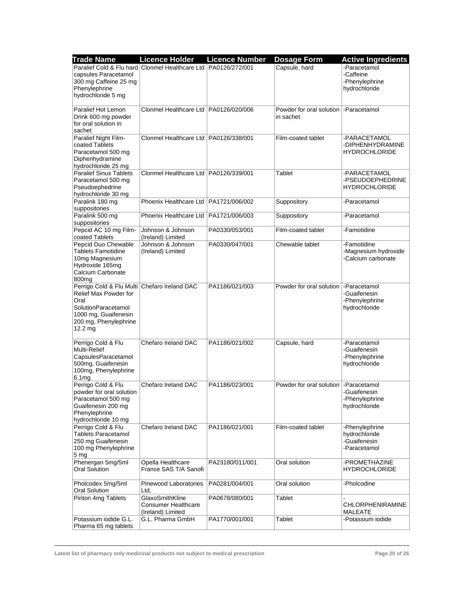| <b>Trade Name</b>                                                                                                                                                          | <b>Licence Holder</b>                                              | <b>Licence Number</b> | <b>Dosage Form</b>                       | <b>Active Ingredients</b>                                       |
|----------------------------------------------------------------------------------------------------------------------------------------------------------------------------|--------------------------------------------------------------------|-----------------------|------------------------------------------|-----------------------------------------------------------------|
| capsules Paracetamol<br>300 mg Caffeine 25 mg<br>Phenylephrine<br>hydrochloride 5 mg                                                                                       | Paralief Cold & Flu hard Clonmel Healthcare Ltd PA0126/272/001     |                       | Capsule, hard                            | -Paracetamol<br>-Caffeine<br>-Phenylephrine<br>hydrochloride    |
| Paralief Hot Lemon<br>Drink 600 mg powder<br>for oral solution in                                                                                                          | Clonmel Healthcare Ltd   PA0126/020/006                            |                       | Powder for oral solution<br>in sachet    | -Paracetamol                                                    |
| sachet<br>Paralief Night Film-<br>coated Tablets<br>Paracetamol 500 mg<br>Diphenhydramine<br>hydrochloride 25 mg                                                           | Clonmel Healthcare Ltd   PA0126/338/001                            |                       | Film-coated tablet                       | -PARACETAMOL<br>-DIPHENHYDRAMINE<br><b>HYDROCHLORIDE</b>        |
| <b>Paralief Sinus Tablets</b><br>Paracetamol 500 mg<br>Pseudoephedrine<br>hydrochloride 30 mg                                                                              | Clonmel Healthcare Ltd   PA0126/339/001                            |                       | Tablet                                   | -PARACETAMOL<br>-PSEUDOEPHEDRINE<br><b>HYDROCHLORIDE</b>        |
| Paralink 180 mg<br>suppositories                                                                                                                                           | Phoenix Healthcare Ltd   PA1721/006/002                            |                       | Suppository                              | -Paracetamol                                                    |
| Paralink 500 mg<br>suppositories                                                                                                                                           | Phoenix Healthcare Ltd   PA1721/006/003                            |                       | Suppository                              | -Paracetamol                                                    |
| Pepcid AC 10 mg Film-<br>coated Tablets                                                                                                                                    | Johnson & Johnson<br>(Ireland) Limited                             | PA0330/053/001        | Film-coated tablet                       | -Famotidine                                                     |
| Pepcid Duo Chewable<br><b>Tablets Famotidine</b><br>10mg Magnesium<br>Hydroxide 165mg<br>Calcium Carbonate<br>800 <sub>mg</sub>                                            | Johnson & Johnson<br>(Ireland) Limited                             | PA0330/047/001        | Chewable tablet                          | -Famotidine<br>-Magnesium hydroxide<br>-Calcium carbonate       |
| Perrigo Cold & Flu Multi Chefaro Ireland DAC<br>Relief Max Powder for<br>Oral<br>SolutionParacetamol<br>1000 mg, Guaifenesin<br>200 mg, Phenylephrine<br>$12.2 \text{ mg}$ |                                                                    | PA1186/021/003        | Powder for oral solution                 | -Paracetamol<br>-Guaifenesin<br>-Phenylephrine<br>hydrochloride |
| Perrigo Cold & Flu<br>Multi-Relief<br>CapsulesParacetamol<br>500mg, Guaifenesin<br>100mg, Phenylephrine<br>6.1 <sub>mg</sub>                                               | Chefaro Ireland DAC                                                | PA1186/021/002        | Capsule, hard                            | -Paracetamol<br>-Guaifenesin<br>-Phenylephrine<br>hydrochloride |
| Perrigo Cold & Flu<br>powder for oral solution<br>Paracetamol 500 mg<br>Guaifenesin 200 mg<br>Phenylephrine<br>hydrochloride 10 mg                                         | Chefaro Ireland DAC                                                | PA1186/023/001        | Powder for oral solution   - Paracetamol | -Guaifenesin<br>-Phenylephrine<br>hydrochloride                 |
| Perrigo Cold & Flu<br><b>Tablets Paracetamol</b><br>250 mg Guaifenesin<br>100 mg Phenylephrine<br>5 <sub>mg</sub>                                                          | Chefaro Ireland DAC                                                | PA1186/021/001        | Film-coated tablet                       | -Phenylephrine<br>hydrochloride<br>-Guaifenesin<br>-Paracetamol |
| Phenergan 5mg/5ml<br><b>Oral Solution</b>                                                                                                                                  | Opella Healthcare<br>France SAS T/A Sanofi                         | PA23180/011/001       | Oral solution                            | -PROMETHAZINE<br><b>HYDROCHLORIDE</b>                           |
| Pholcodex 5mg/5ml<br><b>Oral Solution</b>                                                                                                                                  | Pinewood Laboratories<br>Ltd.                                      | PA0281/004/001        | Oral solution                            | -Pholcodine                                                     |
| Piriton 4mg Tablets                                                                                                                                                        | GlaxoSmithKline<br><b>Consumer Healthcare</b><br>(Ireland) Limited | PA0678/080/001        | Tablet                                   | <b>CHLORPHENIRAMINE</b><br>MALEATE                              |
| Potassium iodide G.L.<br>Pharma 65 mg tablets                                                                                                                              | G.L. Pharma GmbH                                                   | PA1770/001/001        | Tablet                                   | -Potassium iodide                                               |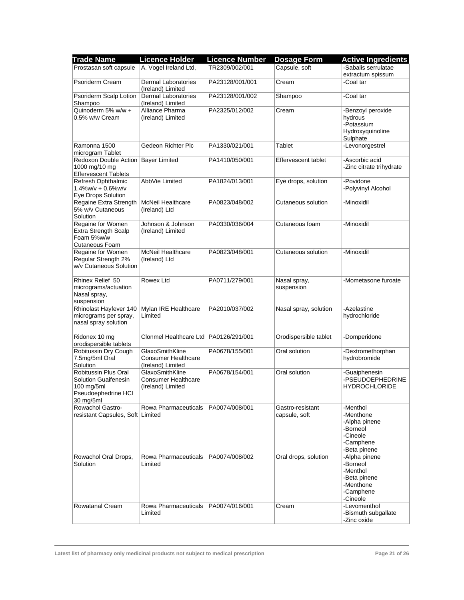| <b>Trade Name</b>                                                                                | <b>Licence Holder</b>                                              | <b>Licence Number</b> | <b>Dosage Form</b>                | <b>Active Ingredients</b>                                                                   |
|--------------------------------------------------------------------------------------------------|--------------------------------------------------------------------|-----------------------|-----------------------------------|---------------------------------------------------------------------------------------------|
| Prostasan soft capsule                                                                           | A. Vogel Ireland Ltd,                                              | TR2309/002/001        | Capsule, soft                     | -Sabalis serrulatae<br>extractum spissum                                                    |
| Psoriderm Cream                                                                                  | <b>Dermal Laboratories</b><br>(Ireland) Limited                    | PA23128/001/001       | Cream                             | -Coal tar                                                                                   |
| Psoriderm Scalp Lotion<br>Shampoo                                                                | Dermal Laboratories<br>(Ireland) Limited                           | PA23128/001/002       | Shampoo                           | -Coal tar                                                                                   |
| Quinoderm 5% $\overline{w/w +}$<br>0.5% w/w Cream                                                | Alliance Pharma<br>(Ireland) Limited                               | PA2325/012/002        | Cream                             | -Benzoyl peroxide<br>hydrous<br>-Potassium<br>Hydroxyquinoline<br>Sulphate                  |
| Ramonna 1500<br>microgram Tablet                                                                 | Gedeon Richter Plc                                                 | PA1330/021/001        | Tablet                            | -Levonorgestrel                                                                             |
| Redoxon Double Action<br>1000 mg/10 mg<br><b>Effervescent Tablets</b>                            | <b>Bayer Limited</b>                                               | PA1410/050/001        | Effervescent tablet               | -Ascorbic acid<br>-Zinc citrate trihydrate                                                  |
| Refresh Ophthalmic<br>$1.4\%$ w/v + 0.6%w/v<br>Eye Drops Solution                                | AbbVie Limited                                                     | PA1824/013/001        | Eye drops, solution               | -Povidone<br>-Polyvinyl Alcohol                                                             |
| Regaine Extra Strength<br>5% w/v Cutaneous<br>Solution                                           | <b>McNeil Healthcare</b><br>(Ireland) Ltd                          | PA0823/048/002        | Cutaneous solution                | -Minoxidil                                                                                  |
| Regaine for Women<br><b>Extra Strength Scalp</b><br>Foam 5%w/w<br><b>Cutaneous Foam</b>          | Johnson & Johnson<br>(Ireland) Limited                             | PA0330/036/004        | Cutaneous foam                    | -Minoxidil                                                                                  |
| Regaine for Women<br>Regular Strength 2%<br>w/v Cutaneous Solution                               | <b>McNeil Healthcare</b><br>(Ireland) Ltd                          | PA0823/048/001        | Cutaneous solution                | -Minoxidil                                                                                  |
| Rhinex Relief 50<br>micrograms/actuation<br>Nasal spray,<br>suspension                           | Rowex Ltd                                                          | PA0711/279/001        | Nasal spray,<br>suspension        | -Mometasone furoate                                                                         |
| Rhinolast Hayfever 140<br>micrograms per spray,<br>nasal spray solution                          | Mylan IRE Healthcare<br>Limited                                    | PA2010/037/002        | Nasal spray, solution             | -Azelastine<br>hydrochloride                                                                |
| Ridonex 10 mg<br>orodispersible tablets                                                          | Clonmel Healthcare Ltd   PA0126/291/001                            |                       | Orodispersible tablet             | -Domperidone                                                                                |
| Robitussin Dry Cough<br>7.5mg/5ml Oral<br>Solution                                               | GlaxoSmithKline<br><b>Consumer Healthcare</b><br>(Ireland) Limited | PA0678/155/001        | Oral solution                     | -Dextromethorphan<br>hydrobromide                                                           |
| Robitussin Plus Oral<br>Solution Guaifenesin<br>$100$ mg/5ml<br>Pseudoephedrine HCI<br>30 mg/5ml | GlaxoSmithKline<br><b>Consumer Healthcare</b><br>(Ireland) Limited | PA0678/154/001        | Oral solution                     | -Guaiphenesin<br>-PSEUDOEPHEDRINE<br><b>HYDROCHLORIDE</b>                                   |
| Rowachol Gastro-<br>resistant Capsules, Soft Limited                                             | Rowa Pharmaceuticals                                               | PA0074/008/001        | Gastro-resistant<br>capsule, soft | -Menthol<br>-Menthone<br>-Alpha pinene<br>-Borneol<br>-Cineole<br>-Camphene<br>-Beta pinene |
| Rowachol Oral Drops,<br>Solution                                                                 | Rowa Pharmaceuticals<br>Limited                                    | PA0074/008/002        | Oral drops, solution              | -Alpha pinene<br>-Borneol<br>-Menthol<br>-Beta pinene<br>-Menthone<br>-Camphene<br>-Cineole |
| Rowatanal Cream                                                                                  | Rowa Pharmaceuticals<br>Limited                                    | PA0074/016/001        | Cream                             | -Levomenthol<br>-Bismuth subgallate<br>-Zinc oxide                                          |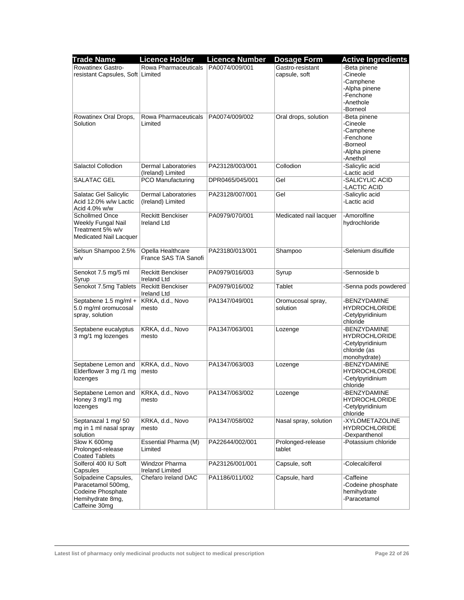| <b>Trade Name</b>                          | <b>Licence Holder</b>    | <b>Licence Number</b> | <b>Dosage Form</b>     | <b>Active Ingredients</b>        |
|--------------------------------------------|--------------------------|-----------------------|------------------------|----------------------------------|
| <b>Rowatinex Gastro-</b>                   | Rowa Pharmaceuticals     | PA0074/009/001        | Gastro-resistant       | -Beta pinene                     |
| resistant Capsules, Soft Limited           |                          |                       | capsule, soft          | -Cineole                         |
|                                            |                          |                       |                        | -Camphene                        |
|                                            |                          |                       |                        | -Alpha pinene                    |
|                                            |                          |                       |                        | -Fenchone                        |
|                                            |                          |                       |                        | -Anethole                        |
|                                            |                          |                       |                        | -Borneol                         |
| Rowatinex Oral Drops,                      | Rowa Pharmaceuticals     | PA0074/009/002        | Oral drops, solution   | -Beta pinene                     |
| Solution                                   | Limited                  |                       |                        | -Cineole                         |
|                                            |                          |                       |                        | -Camphene                        |
|                                            |                          |                       |                        | -Fenchone<br>-Borneol            |
|                                            |                          |                       |                        | -Alpha pinene                    |
|                                            |                          |                       |                        | -Anethol                         |
| Salactol Collodion                         | Dermal Laboratories      | PA23128/003/001       | Collodion              | -Salicylic acid                  |
|                                            | (Ireland) Limited        |                       |                        | -Lactic acid                     |
| SALATAC GEL                                | PCO Manufacturing        | DPR0465/045/001       | Gel                    | -SALICYLIC ACID                  |
|                                            |                          |                       |                        | -LACTIC ACID                     |
| Salatac Gel Salicylic                      | Dermal Laboratories      | PA23128/007/001       | Gel                    | -Salicylic acid                  |
| Acid 12.0% w/w Lactic                      | (Ireland) Limited        |                       |                        | -Lactic acid                     |
| Acid 4.0% w/w                              |                          |                       |                        |                                  |
| <b>Schollmed Once</b>                      | <b>Reckitt Benckiser</b> | PA0979/070/001        | Medicated nail lacquer | -Amorolfine                      |
| Weekly Fungal Nail                         | <b>Ireland Ltd</b>       |                       |                        | hydrochloride                    |
| Treatment 5% w/v                           |                          |                       |                        |                                  |
| Medicated Nail Lacquer                     |                          |                       |                        |                                  |
|                                            | Opella Healthcare        | PA23180/013/001       | Shampoo                | -Selenium disulfide              |
| Selsun Shampoo 2.5%<br>W/v                 | France SAS T/A Sanofi    |                       |                        |                                  |
|                                            |                          |                       |                        |                                  |
| Senokot 7.5 mg/5 ml                        | <b>Reckitt Benckiser</b> | PA0979/016/003        | Syrup                  | -Sennoside b                     |
| Syrup                                      | <b>Ireland Ltd</b>       |                       |                        |                                  |
| Senokot 7.5mg Tablets                      | <b>Reckitt Benckiser</b> | PA0979/016/002        | Tablet                 | -Senna pods powdered             |
|                                            | <b>Ireland Ltd</b>       |                       |                        |                                  |
| Septabene 1.5 mg/ml +                      | KRKA, d.d., Novo         | PA1347/049/001        | Oromucosal spray,      | -BENZYDAMINE                     |
| 5.0 mg/ml oromucosal                       | mesto                    |                       | solution               | <b>HYDROCHLORIDE</b>             |
| spray, solution                            |                          |                       |                        | -Cetylpyridinium                 |
|                                            |                          |                       |                        | chloride                         |
| Septabene eucalyptus                       | KRKA, d.d., Novo         | PA1347/063/001        | Lozenge                | -BENZYDAMINE                     |
| 3 mg/1 mg lozenges                         | mesto                    |                       |                        | <b>HYDROCHLORIDE</b>             |
|                                            |                          |                       |                        | -Cetylpyridinium<br>chloride (as |
|                                            |                          |                       |                        | monohydrate)                     |
| Septabene Lemon and                        | KRKA, d.d., Novo         | PA1347/063/003        | Lozenge                | -BENZYDAMINE                     |
| Elderflower 3 mg /1 mg                     | mesto                    |                       |                        | <b>HYDROCHLORIDE</b>             |
| lozenges                                   |                          |                       |                        | -Cetylpyridinium                 |
|                                            |                          |                       |                        | chloride                         |
| Septabene Lemon and                        | KRKA, d.d., Novo         | PA1347/063/002        | Lozenge                | -BENZYDAMINE                     |
| Honey 3 mg/1 mg                            | mesto                    |                       |                        | <b>HYDROCHLORIDE</b>             |
| lozenges                                   |                          |                       |                        | -Cetylpyridinium                 |
|                                            |                          |                       |                        | chloride                         |
| Septanazal 1 mg/ 50                        | KRKA, d.d., Novo         | PA1347/058/002        | Nasal spray, solution  | -XYLOMETAZOLINE                  |
| mg in 1 ml nasal spray                     | mesto                    |                       |                        | <b>HYDROCHLORIDE</b>             |
| solution                                   |                          |                       |                        | -Dexpanthenol                    |
| Slow K 600mg                               | Essential Pharma (M)     | PA22644/002/001       | Prolonged-release      | -Potassium chloride              |
| Prolonged-release<br><b>Coated Tablets</b> | Limited                  |                       | tablet                 |                                  |
| Solferol 400 IU Soft                       | Windzor Pharma           | PA23126/001/001       | Capsule, soft          | -Colecalciferol                  |
| Capsules                                   | <b>Ireland Limited</b>   |                       |                        |                                  |
| Solpadeine Capsules,                       | Chefaro Ireland DAC      | PA1186/011/002        | Capsule, hard          | -Caffeine                        |
| Paracetamol 500mg,                         |                          |                       |                        | -Codeine phosphate               |
| Codeine Phosphate                          |                          |                       |                        | hemihydrate                      |
| Hemihydrate 8mg,                           |                          |                       |                        | -Paracetamol                     |
| Caffeine 30mg                              |                          |                       |                        |                                  |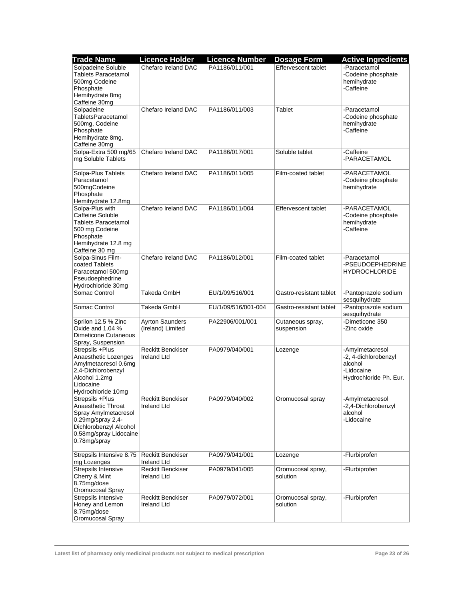| <b>Trade Name</b>                                                                                                                                      | <b>Licence Holder</b>                          | <b>Licence Number</b> | <b>Dosage Form</b>             | <b>Active Ingredients</b>                                                                  |
|--------------------------------------------------------------------------------------------------------------------------------------------------------|------------------------------------------------|-----------------------|--------------------------------|--------------------------------------------------------------------------------------------|
| Solpadeine Soluble<br><b>Tablets Paracetamol</b><br>500mg Codeine<br>Phosphate<br>Hemihydrate 8mg<br>Caffeine 30mg                                     | Chefaro Ireland DAC                            | PA1186/011/001        | Effervescent tablet            | -Paracetamol<br>-Codeine phosphate<br>hemihydrate<br>-Caffeine                             |
| Solpadeine<br>TabletsParacetamol<br>500mg, Codeine<br>Phosphate<br>Hemihydrate 8mg,<br>Caffeine 30mg                                                   | Chefaro Ireland DAC                            | PA1186/011/003        | Tablet                         | -Paracetamol<br>-Codeine phosphate<br>hemihydrate<br>-Caffeine                             |
| Solpa-Extra 500 mg/65<br>mg Soluble Tablets                                                                                                            | Chefaro Ireland DAC                            | PA1186/017/001        | Soluble tablet                 | -Caffeine<br>-PARACETAMOL                                                                  |
| Solpa-Plus Tablets<br>Paracetamol<br>500mgCodeine<br>Phosphate<br>Hemihydrate 12.8mg                                                                   | Chefaro Ireland DAC                            | PA1186/011/005        | Film-coated tablet             | -PARACETAMOL<br>-Codeine phosphate<br>hemihydrate                                          |
| Solpa-Plus with<br>Caffeine Soluble<br><b>Tablets Paracetamol</b><br>500 mg Codeine<br>Phosphate<br>Hemihydrate 12.8 mg<br>Caffeine 30 mg              | Chefaro Ireland DAC                            | PA1186/011/004        | Effervescent tablet            | -PARACETAMOL<br>-Codeine phosphate<br>hemihydrate<br>-Caffeine                             |
| Solpa-Sinus Film-<br>coated Tablets<br>Paracetamol 500mg<br>Pseudoephedrine<br>Hydrochloride 30mg                                                      | Chefaro Ireland DAC                            | PA1186/012/001        | Film-coated tablet             | -Paracetamol<br>-PSEUDOEPHEDRINE<br><b>HYDROCHLORIDE</b>                                   |
| Somac Control                                                                                                                                          | Takeda GmbH                                    | EU/1/09/516/001       | Gastro-resistant tablet        | -Pantoprazole sodium<br>sesquihydrate                                                      |
| Somac Control                                                                                                                                          | Takeda GmbH                                    | EU/1/09/516/001-004   | Gastro-resistant tablet        | -Pantoprazole sodium<br>sesquihydrate                                                      |
| Sprilon 12.5 % Zinc<br>Oxide and 1.04 %<br><b>Dimeticone Cutaneous</b><br>Spray, Suspension                                                            | <b>Ayrton Saunders</b><br>(Ireland) Limited    | PA22906/001/001       | Cutaneous spray,<br>suspension | -Dimeticone 350<br>-Zinc oxide                                                             |
| Strepsils +Plus<br>Anaesthetic Lozenges<br>Amylmetacresol 0.6mg<br>2,4-Dichlorobenzyl<br>Alcohol 1.2mg<br>Lidocaine<br>Hydrochloride 10mg              | <b>Reckitt Benckiser</b><br><b>Ireland Ltd</b> | PA0979/040/001        | Lozenge                        | -Amylmetacresol<br>-2, 4-dichlorobenzyl<br>alcohol<br>-Lidocaine<br>Hydrochloride Ph. Eur. |
| Strepsils +Plus<br>Anaesthetic Throat<br>Spray Amylmetacresol<br>0.29mg/spray 2,4-<br>Dichlorobenzyl Alcohol<br>0.58mg/spray Lidocaine<br>0.78mg/spray | <b>Reckitt Benckiser</b><br>Ireland Ltd        | PA0979/040/002        | Oromucosal spray               | -Amylmetacresol<br>-2,4-Dichlorobenzyl<br>alcohol<br>-Lidocaine                            |
| Strepsils Intensive 8.75<br>mg Lozenges                                                                                                                | <b>Reckitt Benckiser</b><br><b>Ireland Ltd</b> | PA0979/041/001        | Lozenge                        | -Flurbiprofen                                                                              |
| Strepsils Intensive<br>Cherry & Mint<br>8.75mg/dose<br>Oromucosal Spray                                                                                | <b>Reckitt Benckiser</b><br>Ireland Ltd        | PA0979/041/005        | Oromucosal spray,<br>solution  | -Flurbiprofen                                                                              |
| Strepsils Intensive<br>Honey and Lemon<br>8.75mg/dose<br>Oromucosal Spray                                                                              | <b>Reckitt Benckiser</b><br><b>Ireland Ltd</b> | PA0979/072/001        | Oromucosal spray,<br>solution  | -Flurbiprofen                                                                              |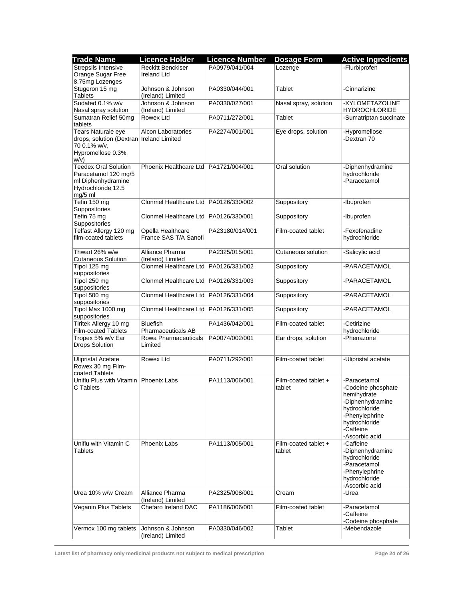| <b>Trade Name</b>           | <b>Licence Holder</b>                   | <b>Licence Number</b> | <b>Dosage Form</b>    | <b>Active Ingredients</b>       |
|-----------------------------|-----------------------------------------|-----------------------|-----------------------|---------------------------------|
| Strepsils Intensive         | <b>Reckitt Benckiser</b>                | PA0979/041/004        | Lozenge               | -Flurbiprofen                   |
| Orange Sugar Free           | <b>Ireland Ltd</b>                      |                       |                       |                                 |
| 8.75mg Lozenges             |                                         |                       |                       |                                 |
| Stugeron 15 mg              | Johnson & Johnson                       | PA0330/044/001        | Tablet                | -Cinnarizine                    |
| <b>Tablets</b>              | (Ireland) Limited                       |                       |                       |                                 |
| Sudafed 0.1% w/v            | Johnson & Johnson                       | PA0330/027/001        | Nasal spray, solution | -XYLOMETAZOLINE                 |
| Nasal spray solution        | (Ireland) Limited                       |                       |                       | <b>HYDROCHLORIDE</b>            |
| Sumatran Relief 50mg        | Rowex Ltd                               | PA0711/272/001        | Tablet                | -Sumatriptan succinate          |
| tablets                     |                                         |                       |                       |                                 |
| Tears Naturale eye          | <b>Alcon Laboratories</b>               | PA2274/001/001        | Eye drops, solution   | -Hypromellose                   |
| drops, solution (Dextran)   | <b>Ireland Limited</b>                  |                       |                       | -Dextran 70                     |
| 70 0.1% w/v,                |                                         |                       |                       |                                 |
| Hypromellose 0.3%           |                                         |                       |                       |                                 |
| w/v)                        |                                         |                       |                       |                                 |
| <b>Teedex Oral Solution</b> | Phoenix Healthcare Ltd   PA1721/004/001 |                       | Oral solution         | -Diphenhydramine                |
| Paracetamol 120 mg/5        |                                         |                       |                       | hydrochloride                   |
| ml Diphenhydramine          |                                         |                       |                       | -Paracetamol                    |
| Hydrochloride 12.5          |                                         |                       |                       |                                 |
| $mg/5$ ml<br>Tefin 150 mg   | Clonmel Healthcare Ltd   PA0126/330/002 |                       | Suppository           | -Ibuprofen                      |
| Suppositories               |                                         |                       |                       |                                 |
| Tefin 75 mg                 | Clonmel Healthcare Ltd   PA0126/330/001 |                       | Suppository           | -Ibuprofen                      |
| Suppositories               |                                         |                       |                       |                                 |
| Telfast Allergy 120 mg      | Opella Healthcare                       | PA23180/014/001       | Film-coated tablet    | -Fexofenadine                   |
| film-coated tablets         | France SAS T/A Sanofi                   |                       |                       | hydrochloride                   |
|                             |                                         |                       |                       |                                 |
| Thwart 26% w/w              | Alliance Pharma                         | PA2325/015/001        | Cutaneous solution    | -Salicylic acid                 |
| <b>Cutaneous Solution</b>   | (Ireland) Limited                       |                       |                       |                                 |
| Tipol 125 mg                | Clonmel Healthcare Ltd   PA0126/331/002 |                       | Suppository           | -PARACETAMOL                    |
| suppositories               |                                         |                       |                       |                                 |
| Tipol 250 mg                | Clonmel Healthcare Ltd   PA0126/331/003 |                       | Suppository           | -PARACETAMOL                    |
| suppositories               |                                         |                       |                       |                                 |
| Tipol 500 mg                | Clonmel Healthcare Ltd   PA0126/331/004 |                       | Suppository           | -PARACETAMOL                    |
| suppositories               |                                         |                       |                       |                                 |
| Tipol Max 1000 mg           | Clonmel Healthcare Ltd   PA0126/331/005 |                       | Suppository           | -PARACETAMOL                    |
| suppositories               |                                         |                       |                       |                                 |
| Tiritek Allergy 10 mg       | <b>Bluefish</b>                         | PA1436/042/001        | Film-coated tablet    | -Cetirizine                     |
| Film-coated Tablets         | Pharmaceuticals AB                      |                       |                       | hydrochloride                   |
| Tropex 5% w/v Ear           | Rowa Pharmaceuticals                    | PA0074/002/001        | Ear drops, solution   | -Phenazone                      |
| <b>Drops Solution</b>       | Limited                                 |                       |                       |                                 |
|                             |                                         |                       |                       |                                 |
| <b>Ulipristal Acetate</b>   | Rowex Ltd                               | PA0711/292/001        | Film-coated tablet    | -Ulipristal acetate             |
| Rowex 30 mg Film-           |                                         |                       |                       |                                 |
| coated Tablets              |                                         |                       |                       |                                 |
| Uniflu Plus with Vitamin    | <b>Phoenix Labs</b>                     | PA1113/006/001        | Film-coated tablet +  | -Paracetamol                    |
| C Tablets                   |                                         |                       | tablet                | -Codeine phosphate              |
|                             |                                         |                       |                       | hemihydrate<br>-Diphenhydramine |
|                             |                                         |                       |                       | hydrochloride                   |
|                             |                                         |                       |                       | -Phenylephrine                  |
|                             |                                         |                       |                       | hydrochloride                   |
|                             |                                         |                       |                       | -Caffeine                       |
|                             |                                         |                       |                       | -Ascorbic acid                  |
| Uniflu with Vitamin C       | <b>Phoenix Labs</b>                     | PA1113/005/001        | Film-coated tablet +  | -Caffeine                       |
| Tablets                     |                                         |                       | tablet                | -Diphenhydramine                |
|                             |                                         |                       |                       | hydrochloride                   |
|                             |                                         |                       |                       | -Paracetamol                    |
|                             |                                         |                       |                       | -Phenylephrine                  |
|                             |                                         |                       |                       | hydrochloride                   |
|                             |                                         |                       |                       | -Ascorbic acid                  |
| Urea 10% w/w Cream          | Alliance Pharma                         | PA2325/008/001        | Cream                 | -Urea                           |
|                             | (Ireland) Limited                       |                       |                       |                                 |
| Veganin Plus Tablets        | Chefaro Ireland DAC                     | PA1186/006/001        | Film-coated tablet    | -Paracetamol                    |
|                             |                                         |                       |                       | -Caffeine                       |
|                             |                                         |                       |                       | -Codeine phosphate              |
| Vermox 100 mg tablets       | Johnson & Johnson<br>(Ireland) Limited  | PA0330/046/002        | Tablet                | -Mebendazole                    |
|                             |                                         |                       |                       |                                 |

**Latest list of pharmacy only medicinal products not subject to medical prescription Page 24 of 26**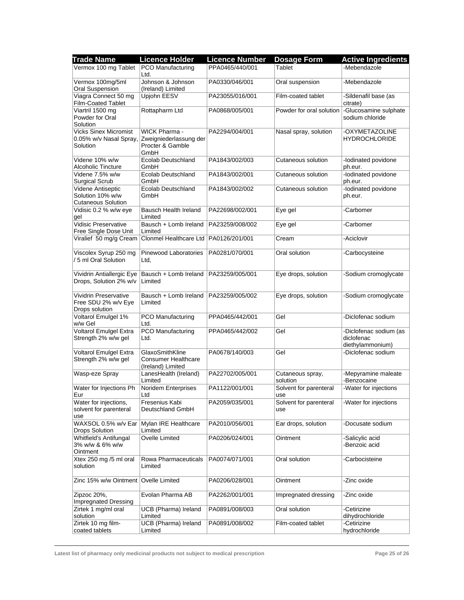| <b>Trade Name</b>                                                  | <b>Licence Holder</b>                                                      | <b>Licence Number</b> | <b>Dosage Form</b>            | <b>Active Ingredients</b>                                |
|--------------------------------------------------------------------|----------------------------------------------------------------------------|-----------------------|-------------------------------|----------------------------------------------------------|
| Vermox 100 mg Tablet   PCO Manufacturing                           | Ltd.                                                                       | PPA0465/440/001       | Tablet                        | -Mebendazole                                             |
| Vermox 100mg/5ml<br>Oral Suspension                                | Johnson & Johnson<br>(Ireland) Limited                                     | PA0330/046/001        | Oral suspension               | -Mebendazole                                             |
| Viagra Connect 50 mg<br><b>Film-Coated Tablet</b>                  | Upjohn EESV                                                                | PA23055/016/001       | Film-coated tablet            | -Sildenafil base (as<br>citrate)                         |
| Viartril 1500 mg<br>Powder for Oral<br>Solution                    | Rottapharm Ltd                                                             | PA0868/005/001        | Powder for oral solution      | -Glucosamine sulphate<br>sodium chloride                 |
| <b>Vicks Sinex Micromist</b><br>0.05% w/v Nasal Spray,<br>Solution | <b>WICK Pharma -</b><br>Zweigniederlassung der<br>Procter & Gamble<br>GmbH | PA2294/004/001        | Nasal spray, solution         | -OXYMETAZOLINE<br><b>HYDROCHLORIDE</b>                   |
| Videne 10% w/w<br>Alcoholic Tincture                               | Ecolab Deutschland<br>GmbH                                                 | PA1843/002/003        | Cutaneous solution            | -lodinated povidone<br>ph.eur.                           |
| Videne 7.5% w/w<br><b>Surgical Scrub</b>                           | <b>Ecolab Deutschland</b><br>GmbH                                          | PA1843/002/001        | Cutaneous solution            | -lodinated povidone<br>ph.eur.                           |
| Videne Antiseptic<br>Solution 10% w/w<br><b>Cutaneous Solution</b> | Ecolab Deutschland<br>GmbH                                                 | PA1843/002/002        | Cutaneous solution            | -lodinated povidone<br>ph.eur.                           |
| Vidisic 0.2 % w/w eye<br>gel                                       | Bausch Health Ireland<br>Limited                                           | PA22698/002/001       | Eye gel                       | -Carbomer                                                |
| Vidisic Preservative<br>Free Single Dose Unit                      | Bausch + Lomb Ireland<br>Limited                                           | PA23259/008/002       | Eye gel                       | -Carbomer                                                |
| Viralief 50 mg/g Cream                                             | Clonmel Healthcare Ltd   PA0126/201/001                                    |                       | Cream                         | -Aciclovir                                               |
| Viscolex Syrup 250 mg<br>/ 5 ml Oral Solution                      | Pinewood Laboratories<br>Ltd,                                              | PA0281/070/001        | Oral solution                 | -Carbocysteine                                           |
| Vividrin Antiallergic Eye<br>Drops, Solution 2% w/v                | Bausch + Lomb Ireland<br>Limited                                           | PA23259/005/001       | Eye drops, solution           | -Sodium cromoglycate                                     |
| Vividrin Preservative<br>Free SDU 2% w/v Eye<br>Drops solution     | Bausch + Lomb Ireland<br>Limited                                           | PA23259/005/002       | Eye drops, solution           | -Sodium cromoglycate                                     |
| Voltarol Emulgel 1%<br>w/w Gel                                     | <b>PCO Manufacturing</b><br>Ltd.                                           | PPA0465/442/001       | Gel                           | -Diclofenac sodium                                       |
| Voltarol Emulgel Extra<br>Strength 2% w/w gel                      | PCO Manufacturing<br>Ltd.                                                  | PPA0465/442/002       | Gel                           | -Diclofenac sodium (as<br>diclofenac<br>diethylammonium) |
| <b>Voltarol Emulgel Extra</b><br>Strength 2% w/w gel               | GlaxoSmithKline<br><b>Consumer Healthcare</b><br>(Ireland) Limited         | PA0678/140/003        | Gel                           | -Diclofenac sodium                                       |
| Wasp-eze Spray                                                     | LanesHealth (Ireland)<br>Limited                                           | PA22702/005/001       | Cutaneous spray,<br>solution  | -Mepyramine maleate<br>-Benzocaine                       |
| Water for Injections Ph<br>Eur                                     | Noridem Enterprises<br>Ltd                                                 | PA1122/001/001        | Solvent for parenteral<br>use | -Water for injections                                    |
| Water for injections,<br>solvent for parenteral<br>use             | Fresenius Kabi<br>Deutschland GmbH                                         | PA2059/035/001        | Solvent for parenteral<br>use | -Water for injections                                    |
| WAXSOL 0.5% w/v Ear<br><b>Drops Solution</b>                       | Mylan IRE Healthcare<br>Limited                                            | PA2010/056/001        | Ear drops, solution           | -Docusate sodium                                         |
| Whitfield's Antifungal<br>3% w/w & 6% w/w<br>Ointment              | Ovelle Limited                                                             | PA0206/024/001        | Ointment                      | -Salicylic acid<br>-Benzoic acid                         |
| Xtex 250 mg /5 ml oral<br>solution                                 | Rowa Pharmaceuticals<br>Limited                                            | PA0074/071/001        | Oral solution                 | -Carbocisteine                                           |
| Zinc 15% w/w Ointment                                              | Ovelle Limited                                                             | PA0206/028/001        | Ointment                      | -Zinc oxide                                              |
| Zipzoc 20%,<br><b>Impregnated Dressing</b>                         | Evolan Pharma AB                                                           | PA2262/001/001        | Impregnated dressing          | -Zinc oxide                                              |
| Zirtek 1 mg/ml oral<br>solution                                    | UCB (Pharma) Ireland<br>Limited                                            | PA0891/008/003        | Oral solution                 | -Cetirizine<br>dihydrochloride                           |
| Zirtek 10 mg film-<br>coated tablets                               | UCB (Pharma) Ireland<br>Limited                                            | PA0891/008/002        | Film-coated tablet            | -Cetirizine<br>hydrochloride                             |